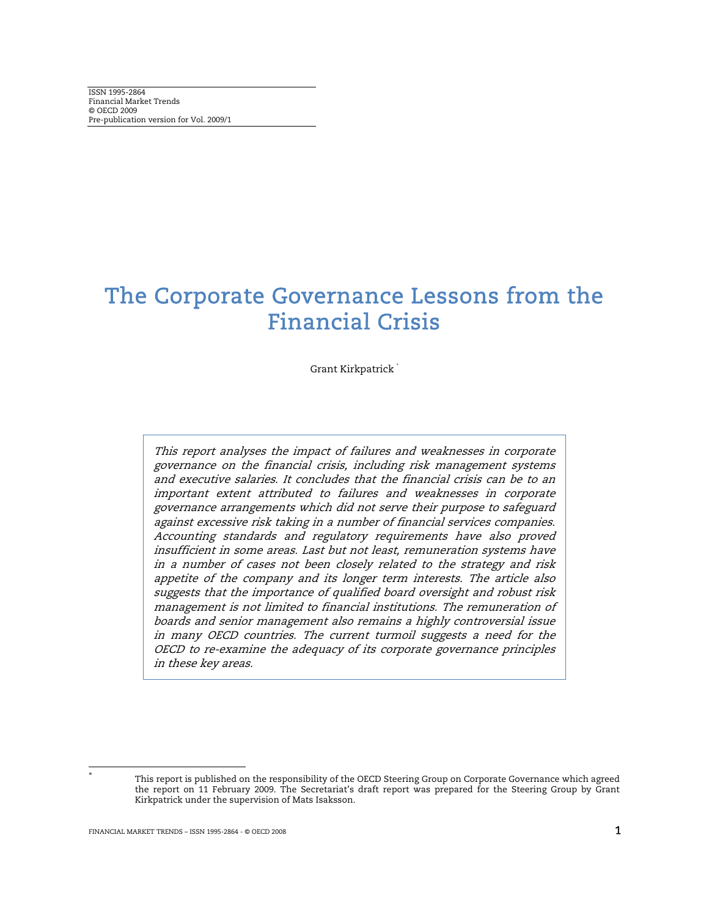## The Corporate Governance Lessons from the Financial Crisis

Grant Kirkpatrick

This report analyses the impact of failures and weaknesses in corporate governance on the financial crisis, including risk management systems and executive salaries. It concludes that the financial crisis can be to an important extent attributed to failures and weaknesses in corporate governance arrangements which did not serve their purpose to safeguard against excessive risk taking in a number of financial services companies. Accounting standards and regulatory requirements have also proved insufficient in some areas. Last but not least, remuneration systems have in a number of cases not been closely related to the strategy and risk appetite of the company and its longer term interests. The article also suggests that the importance of qualified board oversight and robust risk management is not limited to financial institutions. The remuneration of boards and senior management also remains a highly controversial issue in many OECD countries. The current turmoil suggests a need for the OECD to re-examine the adequacy of its corporate governance principles in these key areas.

l

This report is published on the responsibility of the OECD Steering Group on Corporate Governance which agreed the report on 11 February 2009. The Secretariat's draft report was prepared for the Steering Group by Grant Kirkpatrick under the supervision of Mats Isaksson.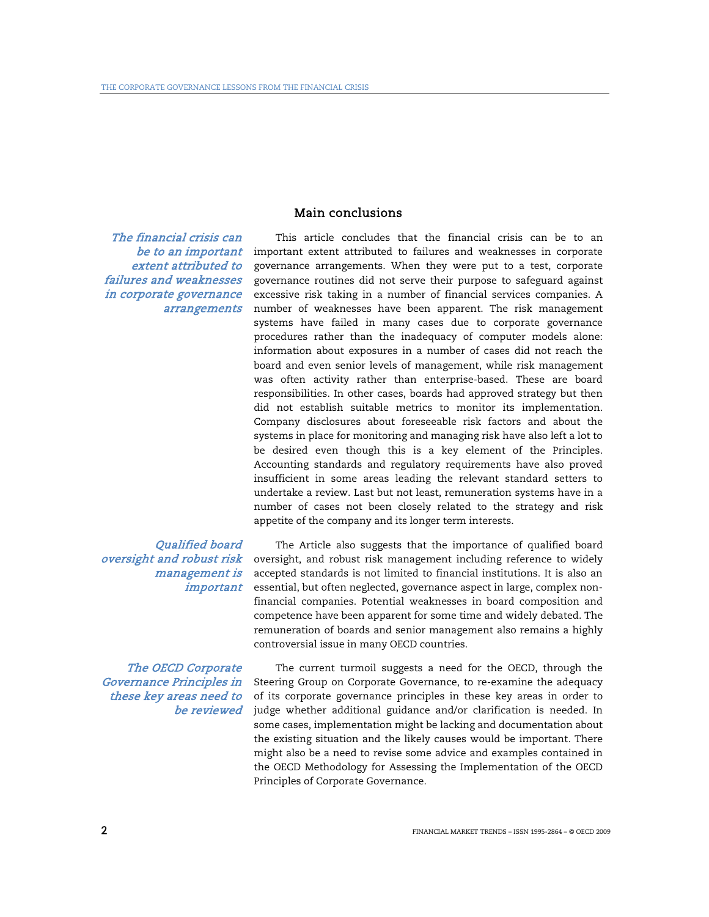## Main conclusions

The financial crisis can be to an important extent attributed to failures and weaknesses in corporate governance arrangements

Qualified board oversight and robust risk management is important

The OECD Corporate Governance Principles in these key areas need to be reviewed

This article concludes that the financial crisis can be to an important extent attributed to failures and weaknesses in corporate governance arrangements. When they were put to a test, corporate governance routines did not serve their purpose to safeguard against excessive risk taking in a number of financial services companies. A number of weaknesses have been apparent. The risk management systems have failed in many cases due to corporate governance procedures rather than the inadequacy of computer models alone: information about exposures in a number of cases did not reach the board and even senior levels of management, while risk management was often activity rather than enterprise-based. These are board responsibilities. In other cases, boards had approved strategy but then did not establish suitable metrics to monitor its implementation. Company disclosures about foreseeable risk factors and about the systems in place for monitoring and managing risk have also left a lot to be desired even though this is a key element of the Principles. Accounting standards and regulatory requirements have also proved insufficient in some areas leading the relevant standard setters to undertake a review. Last but not least, remuneration systems have in a number of cases not been closely related to the strategy and risk appetite of the company and its longer term interests.

The Article also suggests that the importance of qualified board oversight, and robust risk management including reference to widely accepted standards is not limited to financial institutions. It is also an essential, but often neglected, governance aspect in large, complex nonfinancial companies. Potential weaknesses in board composition and competence have been apparent for some time and widely debated. The remuneration of boards and senior management also remains a highly controversial issue in many OECD countries.

The current turmoil suggests a need for the OECD, through the Steering Group on Corporate Governance, to re-examine the adequacy of its corporate governance principles in these key areas in order to judge whether additional guidance and/or clarification is needed. In some cases, implementation might be lacking and documentation about the existing situation and the likely causes would be important. There might also be a need to revise some advice and examples contained in the OECD Methodology for Assessing the Implementation of the OECD Principles of Corporate Governance.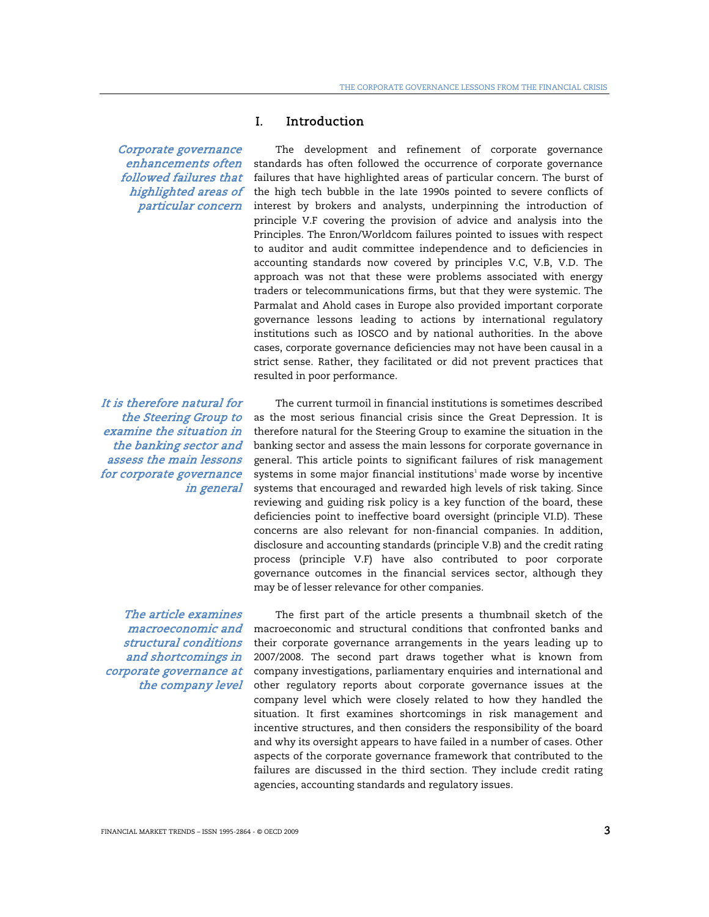Corporate governance enhancements often followed failures that highlighted areas of particular concern

It is therefore natural for the Steering Group to examine the situation in the banking sector and assess the main lessons for corporate governance in general

The article examines structural conditions and shortcomings in corporate governance at the company level

## I. Introduction

The development and refinement of corporate governance standards has often followed the occurrence of corporate governance failures that have highlighted areas of particular concern. The burst of the high tech bubble in the late 1990s pointed to severe conflicts of interest by brokers and analysts, underpinning the introduction of principle V.F covering the provision of advice and analysis into the Principles. The Enron/Worldcom failures pointed to issues with respect to auditor and audit committee independence and to deficiencies in accounting standards now covered by principles V.C, V.B, V.D. The approach was not that these were problems associated with energy traders or telecommunications firms, but that they were systemic. The Parmalat and Ahold cases in Europe also provided important corporate governance lessons leading to actions by international regulatory institutions such as IOSCO and by national authorities. In the above cases, corporate governance deficiencies may not have been causal in a strict sense. Rather, they facilitated or did not prevent practices that resulted in poor performance.

The current turmoil in financial institutions is sometimes described as the most serious financial crisis since the Great Depression. It is therefore natural for the Steering Group to examine the situation in the banking sector and assess the main lessons for corporate governance in general. This article points to significant failures of risk management systems in some major financial institutions $^1$  made worse by incentive systems that encouraged and rewarded high levels of risk taking. Since reviewing and guiding risk policy is a key function of the board, these deficiencies point to ineffective board oversight (principle VI.D). These concerns are also relevant for non-financial companies. In addition, disclosure and accounting standards (principle V.B) and the credit rating process (principle V.F) have also contributed to poor corporate governance outcomes in the financial services sector, although they may be of lesser relevance for other companies.

*macroeconomic and* emacroeconomic and structural conditions that confronted banks and The first part of the article presents a thumbnail sketch of the their corporate governance arrangements in the years leading up to 2007/2008. The second part draws together what is known from company investigations, parliamentary enquiries and international and other regulatory reports about corporate governance issues at the company level which were closely related to how they handled the situation. It first examines shortcomings in risk management and incentive structures, and then considers the responsibility of the board and why its oversight appears to have failed in a number of cases. Other aspects of the corporate governance framework that contributed to the failures are discussed in the third section. They include credit rating agencies, accounting standards and regulatory issues.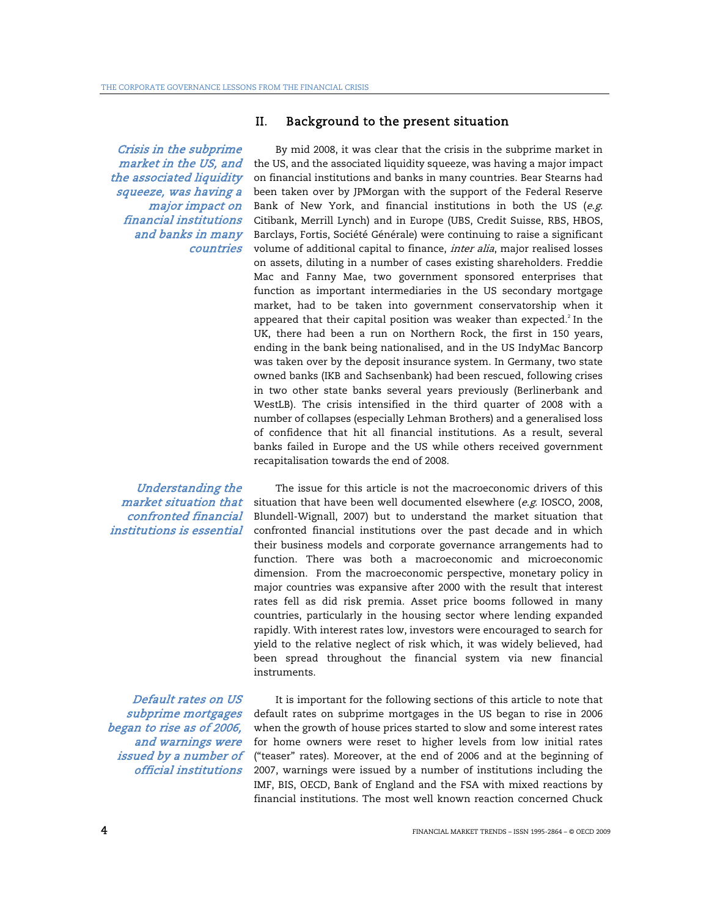Crisis in the subprime market in the US, and the associated liquidity squeeze, was having a major impact on financial institutions and banks in many countries

Understanding the market situation that confronted financial institutions is essential

Default rates on US subprime mortgages began to rise as of 2006, and warnings were issued by a number of official institutions

## II. Background to the present situation

By mid 2008, it was clear that the crisis in the subprime market in the US, and the associated liquidity squeeze, was having a major impact on financial institutions and banks in many countries. Bear Stearns had been taken over by JPMorgan with the support of the Federal Reserve Bank of New York, and financial institutions in both the US ( $e.g.$ Citibank, Merrill Lynch) and in Europe (UBS, Credit Suisse, RBS, HBOS, Barclays, Fortis, Société Générale) were continuing to raise a significant volume of additional capital to finance, *inter alia*, major realised losses on assets, diluting in a number of cases existing shareholders. Freddie Mac and Fanny Mae, two government sponsored enterprises that function as important intermediaries in the US secondary mortgage market, had to be taken into government conservatorship when it appeared that their capital position was weaker than expected. $^{2}$  In the UK, there had been a run on Northern Rock, the first in 150 years, ending in the bank being nationalised, and in the US IndyMac Bancorp was taken over by the deposit insurance system. In Germany, two state owned banks (IKB and Sachsenbank) had been rescued, following crises in two other state banks several years previously (Berlinerbank and WestLB). The crisis intensified in the third quarter of 2008 with a number of collapses (especially Lehman Brothers) and a generalised loss of confidence that hit all financial institutions. As a result, several banks failed in Europe and the US while others received government recapitalisation towards the end of 2008.

The issue for this article is not the macroeconomic drivers of this situation that have been well documented elsewhere  $(e.g.$  IOSCO, 2008, Blundell-Wignall, 2007) but to understand the market situation that confronted financial institutions over the past decade and in which their business models and corporate governance arrangements had to function. There was both a macroeconomic and microeconomic dimension. From the macroeconomic perspective, monetary policy in major countries was expansive after 2000 with the result that interest rates fell as did risk premia. Asset price booms followed in many countries, particularly in the housing sector where lending expanded rapidly. With interest rates low, investors were encouraged to search for yield to the relative neglect of risk which, it was widely believed, had been spread throughout the financial system via new financial instruments.

It is important for the following sections of this article to note that default rates on subprime mortgages in the US began to rise in 2006 when the growth of house prices started to slow and some interest rates for home owners were reset to higher levels from low initial rates ("teaser" rates). Moreover, at the end of 2006 and at the beginning of 2007, warnings were issued by a number of institutions including the IMF, BIS, OECD, Bank of England and the FSA with mixed reactions by financial institutions. The most well known reaction concerned Chuck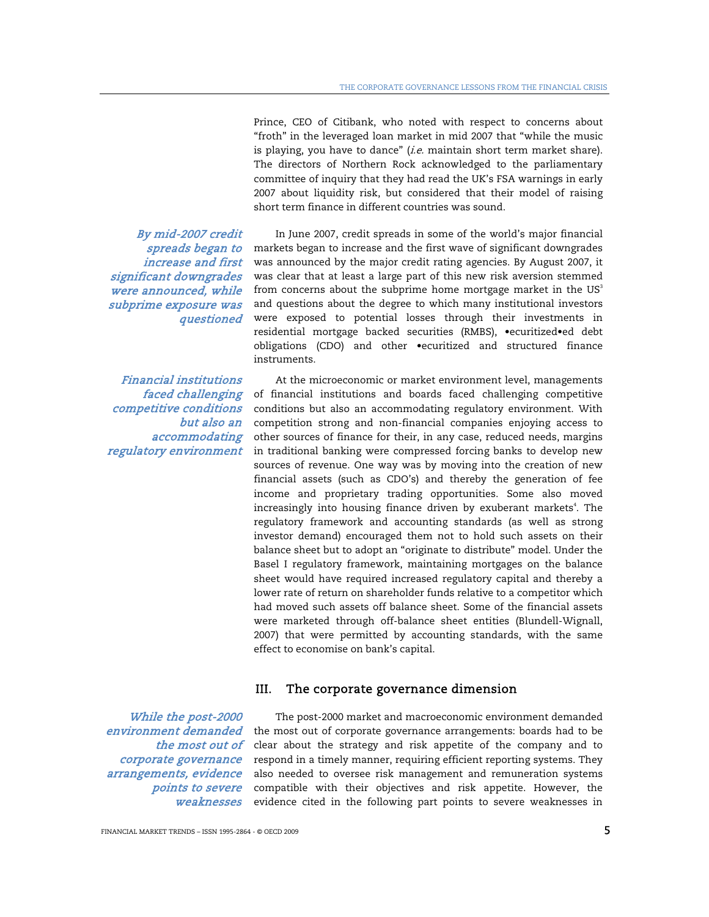Prince, CEO of Citibank, who noted with respect to concerns about "froth" in the leveraged loan market in mid 2007 that "while the music is playing, you have to dance"  $(i.e.$  maintain short term market share). The directors of Northern Rock acknowledged to the parliamentary committee of inquiry that they had read the UK's FSA warnings in early 2007 about liquidity risk, but considered that their model of raising short term finance in different countries was sound.

In June 2007, credit spreads in some of the world's major financial markets began to increase and the first wave of significant downgrades was announced by the major credit rating agencies. By August 2007, it was clear that at least a large part of this new risk aversion stemmed from concerns about the subprime home mortgage market in the  $US<sup>3</sup>$ and questions about the degree to which many institutional investors were exposed to potential losses through their investments in residential mortgage backed securities (RMBS), •ecuritized•ed debt obligations (CDO) and other •ecuritized and structured finance instruments.

At the microeconomic or market environment level, managements of financial institutions and boards faced challenging competitive conditions but also an accommodating regulatory environment. With competition strong and non-financial companies enjoying access to other sources of finance for their, in any case, reduced needs, margins in traditional banking were compressed forcing banks to develop new sources of revenue. One way was by moving into the creation of new financial assets (such as CDO's) and thereby the generation of fee income and proprietary trading opportunities. Some also moved increasingly into housing finance driven by exuberant markets<sup>4</sup>. The regulatory framework and accounting standards (as well as strong investor demand) encouraged them not to hold such assets on their balance sheet but to adopt an "originate to distribute" model. Under the Basel I regulatory framework, maintaining mortgages on the balance sheet would have required increased regulatory capital and thereby a lower rate of return on shareholder funds relative to a competitor which had moved such assets off balance sheet. Some of the financial assets were marketed through off-balance sheet entities (Blundell-Wignall, 2007) that were permitted by accounting standards, with the same effect to economise on bank's capital.

## III. The corporate governance dimension

While the post-2000 environment demanded the most out of corporate governance arrangements, evidence weaknesses

points to severe compatible with their objectives and risk appetite. However, the The post-2000 market and macroeconomic environment demanded the most out of corporate governance arrangements: boards had to be clear about the strategy and risk appetite of the company and to respond in a timely manner, requiring efficient reporting systems. They also needed to oversee risk management and remuneration systems evidence cited in the following part points to severe weaknesses in

By mid-2007 credit spreads began to increase and first significant downgrades were announced, while subprime exposure was questioned

Financial institutions faced challenging competitive conditions but also an accommodating regulatory environment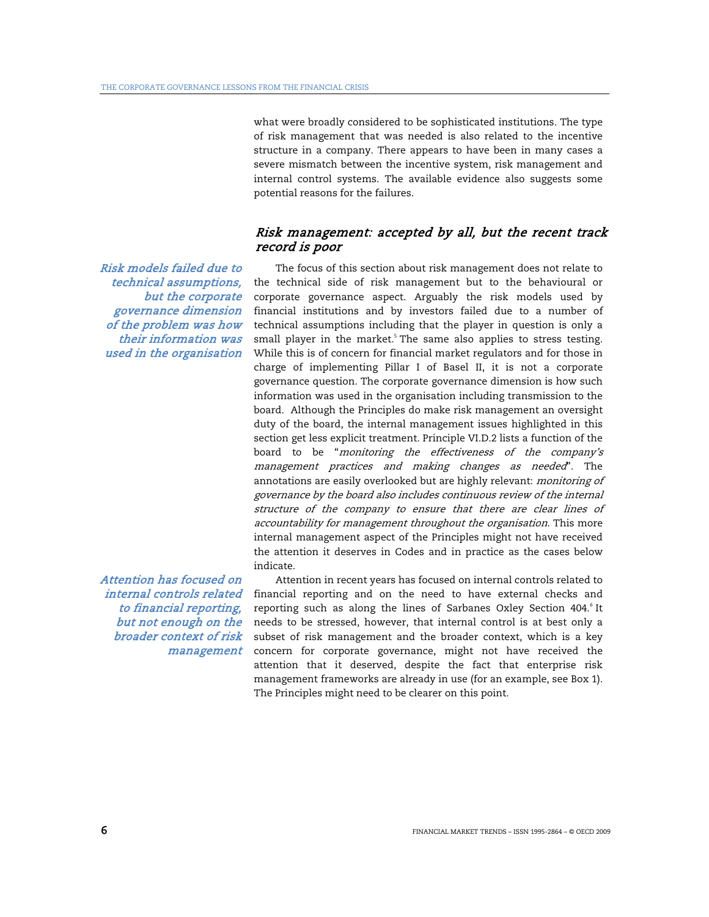what were broadly considered to be sophisticated institutions. The type of risk management that was needed is also related to the incentive structure in a company. There appears to have been in many cases a severe mismatch between the incentive system, risk management and internal control systems. The available evidence also suggests some potential reasons for the failures.

## Risk management: accepted by all, but the recent track record is poor

Risk models failed due to technical assumptions, but the corporate governance dimension of the problem was how their information was used in the organisation

Attention has focused on internal controls related to financial reporting, but not enough on the broader context of risk management

The focus of this section about risk management does not relate to the technical side of risk management but to the behavioural or corporate governance aspect. Arguably the risk models used by financial institutions and by investors failed due to a number of technical assumptions including that the player in question is only a small player in the market.<sup>5</sup> The same also applies to stress testing. While this is of concern for financial market regulators and for those in charge of implementing Pillar I of Basel II, it is not a corporate governance question. The corporate governance dimension is how such information was used in the organisation including transmission to the board. Although the Principles do make risk management an oversight duty of the board, the internal management issues highlighted in this section get less explicit treatment. Principle VI.D.2 lists a function of the board to be "monitoring the effectiveness of the company's management practices and making changes as needed". The annotations are easily overlooked but are highly relevant: *monitoring of* governance by the board also includes continuous review of the internal structure of the company to ensure that there are clear lines of accountability for management throughout the organisation. This more internal management aspect of the Principles might not have received the attention it deserves in Codes and in practice as the cases below indicate.

Attention in recent years has focused on internal controls related to financial reporting and on the need to have external checks and reporting such as along the lines of Sarbanes Oxley Section 404.<sup>6</sup> It needs to be stressed, however, that internal control is at best only a subset of risk management and the broader context, which is a key concern for corporate governance, might not have received the attention that it deserved, despite the fact that enterprise risk management frameworks are already in use (for an example, see Box 1). The Principles might need to be clearer on this point.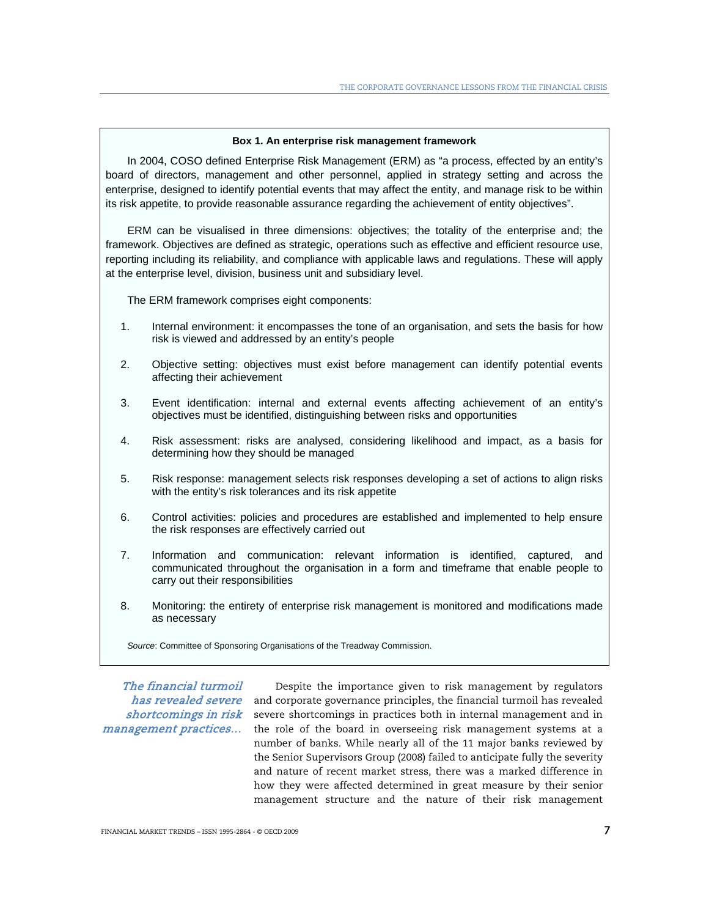#### **Box 1. An enterprise risk management framework**

In 2004, COSO defined Enterprise Risk Management (ERM) as "a process, effected by an entity's board of directors, management and other personnel, applied in strategy setting and across the enterprise, designed to identify potential events that may affect the entity, and manage risk to be within its risk appetite, to provide reasonable assurance regarding the achievement of entity objectives".

ERM can be visualised in three dimensions: objectives; the totality of the enterprise and; the framework. Objectives are defined as strategic, operations such as effective and efficient resource use, reporting including its reliability, and compliance with applicable laws and regulations. These will apply at the enterprise level, division, business unit and subsidiary level.

The ERM framework comprises eight components:

- 1. Internal environment: it encompasses the tone of an organisation, and sets the basis for how risk is viewed and addressed by an entity's people
- 2. Objective setting: objectives must exist before management can identify potential events affecting their achievement
- 3. Event identification: internal and external events affecting achievement of an entity's objectives must be identified, distinguishing between risks and opportunities
- 4. Risk assessment: risks are analysed, considering likelihood and impact, as a basis for determining how they should be managed
- 5. Risk response: management selects risk responses developing a set of actions to align risks with the entity's risk tolerances and its risk appetite
- 6. Control activities: policies and procedures are established and implemented to help ensure the risk responses are effectively carried out
- 7. Information and communication: relevant information is identified, captured, and communicated throughout the organisation in a form and timeframe that enable people to carry out their responsibilities
- 8. Monitoring: the entirety of enterprise risk management is monitored and modifications made as necessary

*Source*: Committee of Sponsoring Organisations of the Treadway Commission.

The financial turmoil shortcomings in risk management practices…

*has revealed severe* and corporate governance principles, the financial turmoil has revealed Despite the importance given to risk management by regulators severe shortcomings in practices both in internal management and in the role of the board in overseeing risk management systems at a number of banks. While nearly all of the 11 major banks reviewed by the Senior Supervisors Group (2008) failed to anticipate fully the severity and nature of recent market stress, there was a marked difference in how they were affected determined in great measure by their senior management structure and the nature of their risk management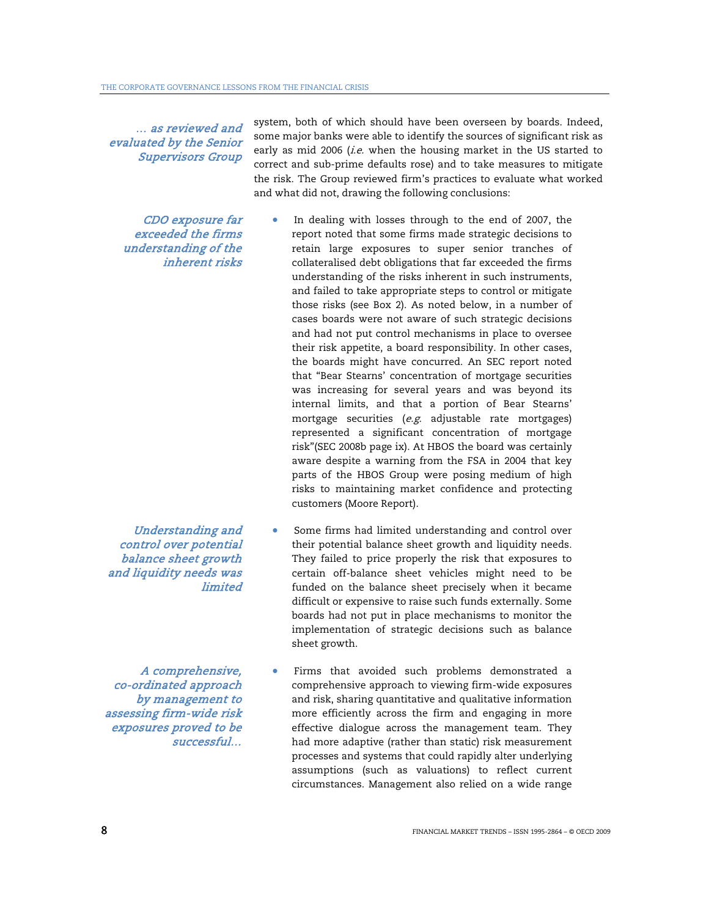… as reviewed and evaluated by the Senior Supervisors Group

> CDO exposure far exceeded the firms understanding of the inherent risks

early as mid 2006 (i.e. when the housing market in the US started to correct and sub-prime defaults rose) and to take measures to mitigate the risk. The Group reviewed firm's practices to evaluate what worked and what did not, drawing the following conclusions: In dealing with losses through to the end of 2007, the report noted that some firms made strategic decisions to retain large exposures to super senior tranches of collateralised debt obligations that far exceeded the firms

system, both of which should have been overseen by boards. Indeed, some major banks were able to identify the sources of significant risk as

- understanding of the risks inherent in such instruments, and failed to take appropriate steps to control or mitigate those risks (see Box 2). As noted below, in a number of cases boards were not aware of such strategic decisions and had not put control mechanisms in place to oversee their risk appetite, a board responsibility. In other cases, the boards might have concurred. An SEC report noted that "Bear Stearns' concentration of mortgage securities was increasing for several years and was beyond its internal limits, and that a portion of Bear Stearns' mortgage securities (e.g. adjustable rate mortgages) represented a significant concentration of mortgage risk"(SEC 2008b page ix). At HBOS the board was certainly aware despite a warning from the FSA in 2004 that key parts of the HBOS Group were posing medium of high risks to maintaining market confidence and protecting customers (Moore Report).
- Some firms had limited understanding and control over their potential balance sheet growth and liquidity needs. They failed to price properly the risk that exposures to certain off-balance sheet vehicles might need to be funded on the balance sheet precisely when it became difficult or expensive to raise such funds externally. Some boards had not put in place mechanisms to monitor the implementation of strategic decisions such as balance sheet growth.
- Firms that avoided such problems demonstrated a comprehensive approach to viewing firm-wide exposures and risk, sharing quantitative and qualitative information more efficiently across the firm and engaging in more effective dialogue across the management team. They had more adaptive (rather than static) risk measurement processes and systems that could rapidly alter underlying assumptions (such as valuations) to reflect current circumstances. Management also relied on a wide range

Understanding and control over potential balance sheet growth and liquidity needs was limited

A comprehensive, co-ordinated approach by management to assessing firm-wide risk exposures proved to be successful…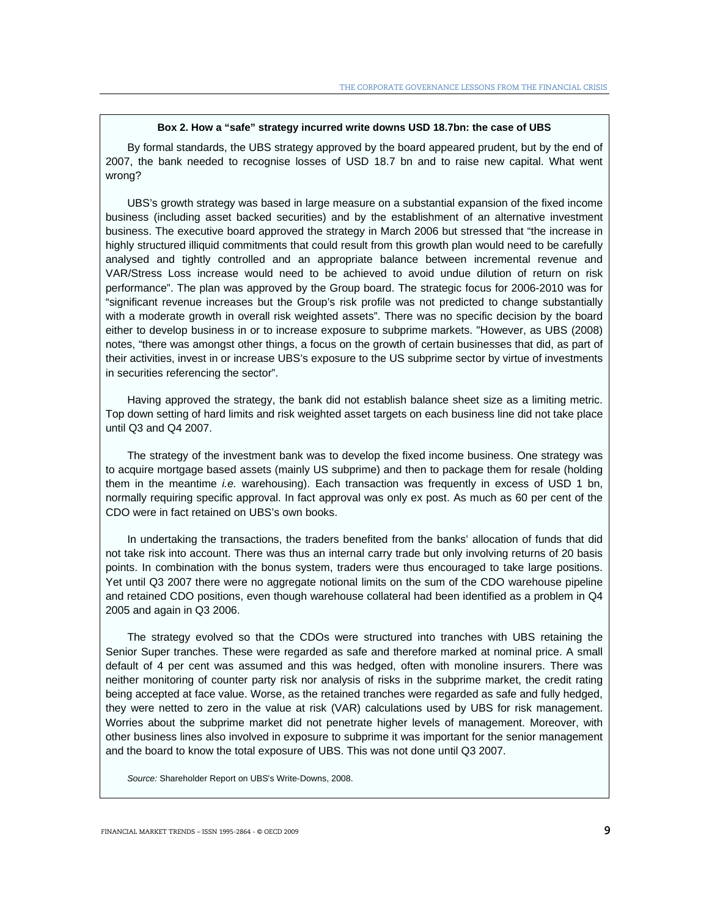#### **Box 2. How a "safe" strategy incurred write downs USD 18.7bn: the case of UBS**

By formal standards, the UBS strategy approved by the board appeared prudent, but by the end of 2007, the bank needed to recognise losses of USD 18.7 bn and to raise new capital. What went wrong?

UBS's growth strategy was based in large measure on a substantial expansion of the fixed income business (including asset backed securities) and by the establishment of an alternative investment business. The executive board approved the strategy in March 2006 but stressed that "the increase in highly structured illiquid commitments that could result from this growth plan would need to be carefully analysed and tightly controlled and an appropriate balance between incremental revenue and VAR/Stress Loss increase would need to be achieved to avoid undue dilution of return on risk performance". The plan was approved by the Group board. The strategic focus for 2006-2010 was for "significant revenue increases but the Group's risk profile was not predicted to change substantially with a moderate growth in overall risk weighted assets". There was no specific decision by the board either to develop business in or to increase exposure to subprime markets. "However, as UBS (2008) notes, "there was amongst other things, a focus on the growth of certain businesses that did, as part of their activities, invest in or increase UBS's exposure to the US subprime sector by virtue of investments in securities referencing the sector".

Having approved the strategy, the bank did not establish balance sheet size as a limiting metric. Top down setting of hard limits and risk weighted asset targets on each business line did not take place until Q3 and Q4 2007.

The strategy of the investment bank was to develop the fixed income business. One strategy was to acquire mortgage based assets (mainly US subprime) and then to package them for resale (holding them in the meantime *i.e.* warehousing). Each transaction was frequently in excess of USD 1 bn, normally requiring specific approval. In fact approval was only ex post. As much as 60 per cent of the CDO were in fact retained on UBS's own books.

In undertaking the transactions, the traders benefited from the banks' allocation of funds that did not take risk into account. There was thus an internal carry trade but only involving returns of 20 basis points. In combination with the bonus system, traders were thus encouraged to take large positions. Yet until Q3 2007 there were no aggregate notional limits on the sum of the CDO warehouse pipeline and retained CDO positions, even though warehouse collateral had been identified as a problem in Q4 2005 and again in Q3 2006.

The strategy evolved so that the CDOs were structured into tranches with UBS retaining the Senior Super tranches. These were regarded as safe and therefore marked at nominal price. A small default of 4 per cent was assumed and this was hedged, often with monoline insurers. There was neither monitoring of counter party risk nor analysis of risks in the subprime market, the credit rating being accepted at face value. Worse, as the retained tranches were regarded as safe and fully hedged, they were netted to zero in the value at risk (VAR) calculations used by UBS for risk management. Worries about the subprime market did not penetrate higher levels of management. Moreover, with other business lines also involved in exposure to subprime it was important for the senior management and the board to know the total exposure of UBS. This was not done until Q3 2007.

*Source:* Shareholder Report on UBS's Write-Downs, 2008.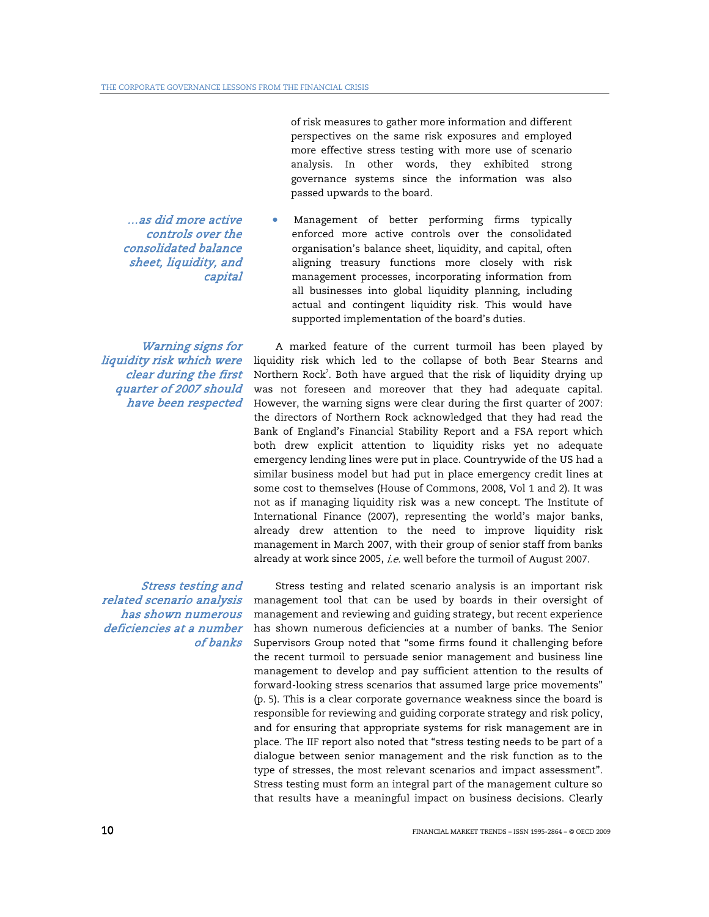…as did more active controls over the consolidated balance sheet, liquidity, and capital

Warning signs for liquidity risk which were clear during the first quarter of 2007 should have been respected

Stress testing and related scenario analysis has shown numerous deficiencies at a number of banks  of risk measures to gather more information and different perspectives on the same risk exposures and employed more effective stress testing with more use of scenario analysis. In other words, they exhibited strong governance systems since the information was also passed upwards to the board.

• Management of better performing firms typically enforced more active controls over the consolidated organisation's balance sheet, liquidity, and capital, often aligning treasury functions more closely with risk management processes, incorporating information from all businesses into global liquidity planning, including actual and contingent liquidity risk. This would have supported implementation of the board's duties.

A marked feature of the current turmoil has been played by liquidity risk which led to the collapse of both Bear Stearns and Northern Rock<sup>7</sup>. Both have argued that the risk of liquidity drying up was not foreseen and moreover that they had adequate capital. However, the warning signs were clear during the first quarter of 2007: the directors of Northern Rock acknowledged that they had read the Bank of England's Financial Stability Report and a FSA report which both drew explicit attention to liquidity risks yet no adequate emergency lending lines were put in place. Countrywide of the US had a similar business model but had put in place emergency credit lines at some cost to themselves (House of Commons, 2008, Vol 1 and 2). It was not as if managing liquidity risk was a new concept. The Institute of International Finance (2007), representing the world's major banks, already drew attention to the need to improve liquidity risk management in March 2007, with their group of senior staff from banks already at work since 2005, *i.e.* well before the turmoil of August 2007.

Stress testing and related scenario analysis is an important risk management tool that can be used by boards in their oversight of management and reviewing and guiding strategy, but recent experience has shown numerous deficiencies at a number of banks. The Senior Supervisors Group noted that "some firms found it challenging before the recent turmoil to persuade senior management and business line management to develop and pay sufficient attention to the results of forward-looking stress scenarios that assumed large price movements" (p. 5). This is a clear corporate governance weakness since the board is responsible for reviewing and guiding corporate strategy and risk policy, and for ensuring that appropriate systems for risk management are in place. The IIF report also noted that "stress testing needs to be part of a dialogue between senior management and the risk function as to the type of stresses, the most relevant scenarios and impact assessment". Stress testing must form an integral part of the management culture so that results have a meaningful impact on business decisions. Clearly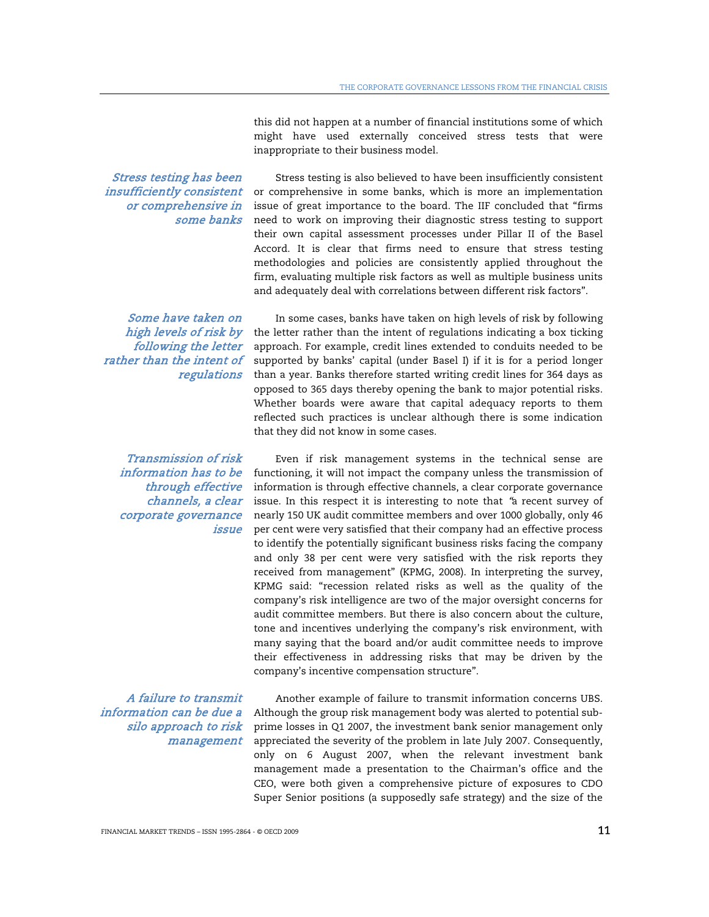this did not happen at a number of financial institutions some of which might have used externally conceived stress tests that were inappropriate to their business model.

Stress testing has been insufficiently consistent or comprehensive in some banks

Stress testing is also believed to have been insufficiently consistent or comprehensive in some banks, which is more an implementation issue of great importance to the board. The IIF concluded that "firms need to work on improving their diagnostic stress testing to support their own capital assessment processes under Pillar II of the Basel Accord. It is clear that firms need to ensure that stress testing methodologies and policies are consistently applied throughout the firm, evaluating multiple risk factors as well as multiple business units and adequately deal with correlations between different risk factors".

Some have taken on high levels of risk by following the letter rather than the intent of regulations

Transmission of risk information has to be through effective channels, a clear corporate governance issue

A failure to transmit information can be due a silo approach to risk management

In some cases, banks have taken on high levels of risk by following the letter rather than the intent of regulations indicating a box ticking approach. For example, credit lines extended to conduits needed to be supported by banks' capital (under Basel I) if it is for a period longer than a year. Banks therefore started writing credit lines for 364 days as opposed to 365 days thereby opening the bank to major potential risks. Whether boards were aware that capital adequacy reports to them reflected such practices is unclear although there is some indication that they did not know in some cases.

Even if risk management systems in the technical sense are functioning, it will not impact the company unless the transmission of information is through effective channels, a clear corporate governance issue. In this respect it is interesting to note that "a recent survey of nearly 150 UK audit committee members and over 1000 globally, only 46 per cent were very satisfied that their company had an effective process to identify the potentially significant business risks facing the company and only 38 per cent were very satisfied with the risk reports they received from management" (KPMG, 2008). In interpreting the survey, KPMG said: "recession related risks as well as the quality of the company's risk intelligence are two of the major oversight concerns for audit committee members. But there is also concern about the culture, tone and incentives underlying the company's risk environment, with many saying that the board and/or audit committee needs to improve their effectiveness in addressing risks that may be driven by the company's incentive compensation structure".

Another example of failure to transmit information concerns UBS. Although the group risk management body was alerted to potential subprime losses in Q1 2007, the investment bank senior management only appreciated the severity of the problem in late July 2007. Consequently, only on 6 August 2007, when the relevant investment bank management made a presentation to the Chairman's office and the CEO, were both given a comprehensive picture of exposures to CDO Super Senior positions (a supposedly safe strategy) and the size of the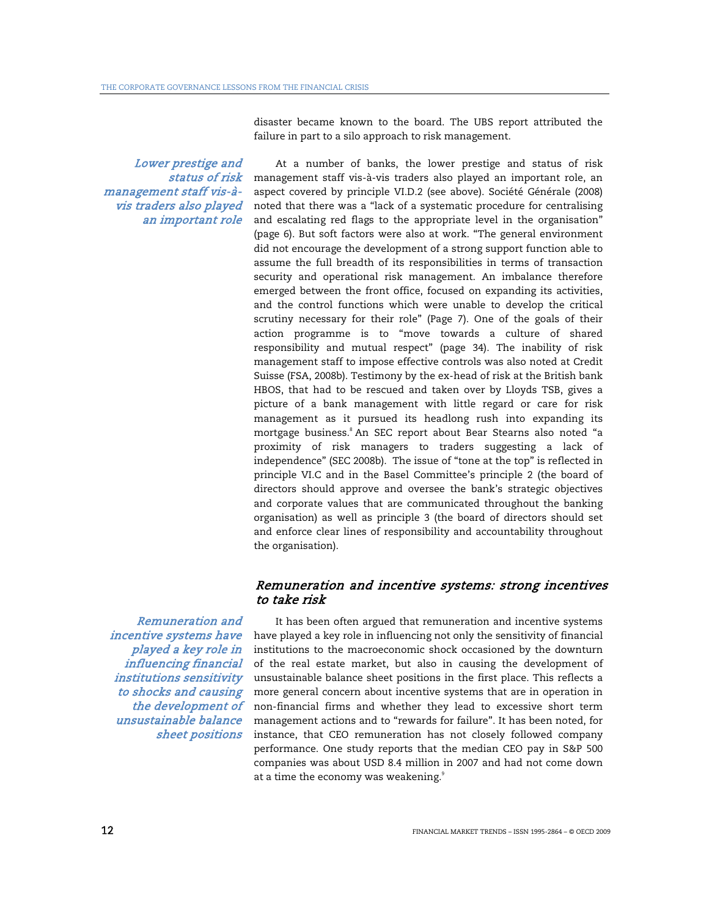disaster became known to the board. The UBS report attributed the failure in part to a silo approach to risk management.

Lower prestige and status of risk management staff vis-àvis traders also played an important role

At a number of banks, the lower prestige and status of risk management staff vis-à-vis traders also played an important role, an aspect covered by principle VI.D.2 (see above). Société Générale (2008) noted that there was a "lack of a systematic procedure for centralising and escalating red flags to the appropriate level in the organisation" (page 6). But soft factors were also at work. "The general environment did not encourage the development of a strong support function able to assume the full breadth of its responsibilities in terms of transaction security and operational risk management. An imbalance therefore emerged between the front office, focused on expanding its activities, and the control functions which were unable to develop the critical scrutiny necessary for their role" (Page 7). One of the goals of their action programme is to "move towards a culture of shared responsibility and mutual respect" (page 34). The inability of risk management staff to impose effective controls was also noted at Credit Suisse (FSA, 2008b). Testimony by the ex-head of risk at the British bank HBOS, that had to be rescued and taken over by Lloyds TSB, gives a picture of a bank management with little regard or care for risk management as it pursued its headlong rush into expanding its mortgage business.<sup>8</sup> An SEC report about Bear Stearns also noted "a proximity of risk managers to traders suggesting a lack of independence" (SEC 2008b). The issue of "tone at the top" is reflected in principle VI.C and in the Basel Committee's principle 2 (the board of directors should approve and oversee the bank's strategic objectives and corporate values that are communicated throughout the banking organisation) as well as principle 3 (the board of directors should set and enforce clear lines of responsibility and accountability throughout the organisation).

## Remuneration and incentive systems: strong incentives to take risk

Remuneration and incentive systems have played a key role in influencing financial institutions sensitivity to shocks and causing the development of unsustainable balance sheet positions

It has been often argued that remuneration and incentive systems have played a key role in influencing not only the sensitivity of financial institutions to the macroeconomic shock occasioned by the downturn of the real estate market, but also in causing the development of unsustainable balance sheet positions in the first place. This reflects a more general concern about incentive systems that are in operation in non-financial firms and whether they lead to excessive short term management actions and to "rewards for failure". It has been noted, for instance, that CEO remuneration has not closely followed company performance. One study reports that the median CEO pay in S&P 500 companies was about USD 8.4 million in 2007 and had not come down at a time the economy was weakening.<sup>9</sup>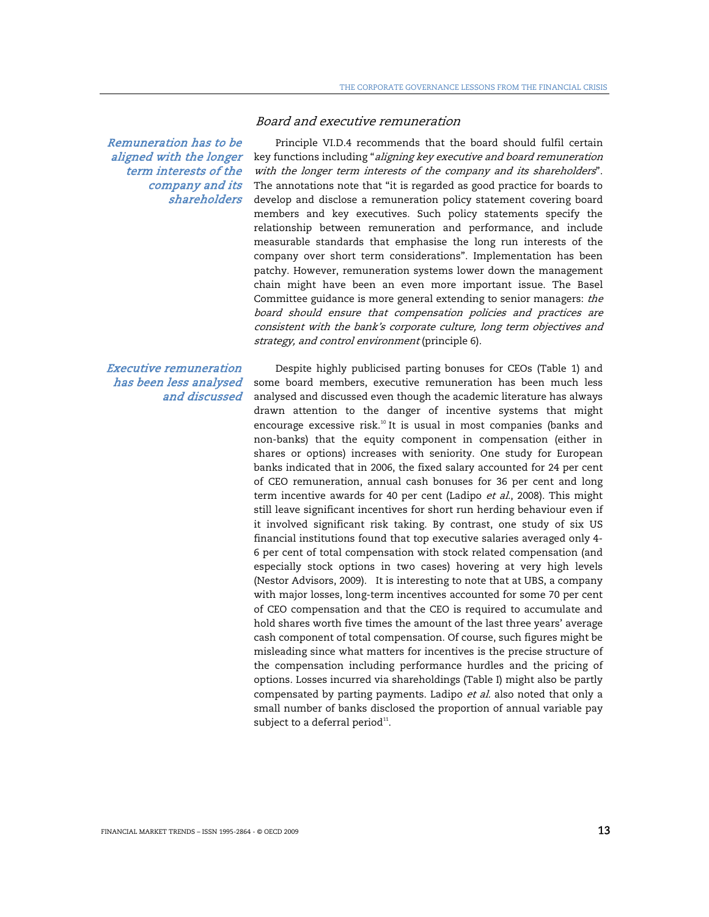Remuneration has to be aligned with the longer term interests of the company and its shareholders

## Executive remuneration has been less analysed and discussed

Principle VI.D.4 recommends that the board should fulfil certain key functions including "aligning key executive and board remuneration with the longer term interests of the company and its shareholders". The annotations note that "it is regarded as good practice for boards to develop and disclose a remuneration policy statement covering board members and key executives. Such policy statements specify the relationship between remuneration and performance, and include measurable standards that emphasise the long run interests of the company over short term considerations". Implementation has been patchy. However, remuneration systems lower down the management chain might have been an even more important issue. The Basel Committee guidance is more general extending to senior managers: the board should ensure that compensation policies and practices are consistent with the bank's corporate culture, long term objectives and strategy, and control environment (principle 6).

Board and executive remuneration

Despite highly publicised parting bonuses for CEOs (Table 1) and some board members, executive remuneration has been much less analysed and discussed even though the academic literature has always drawn attention to the danger of incentive systems that might encourage excessive risk.<sup>10</sup> It is usual in most companies (banks and non-banks) that the equity component in compensation (either in shares or options) increases with seniority. One study for European banks indicated that in 2006, the fixed salary accounted for 24 per cent of CEO remuneration, annual cash bonuses for 36 per cent and long term incentive awards for 40 per cent (Ladipo et al., 2008). This might still leave significant incentives for short run herding behaviour even if it involved significant risk taking. By contrast, one study of six US financial institutions found that top executive salaries averaged only 4- 6 per cent of total compensation with stock related compensation (and especially stock options in two cases) hovering at very high levels (Nestor Advisors, 2009). It is interesting to note that at UBS, a company with major losses, long-term incentives accounted for some 70 per cent of CEO compensation and that the CEO is required to accumulate and hold shares worth five times the amount of the last three years' average cash component of total compensation. Of course, such figures might be misleading since what matters for incentives is the precise structure of the compensation including performance hurdles and the pricing of options. Losses incurred via shareholdings (Table I) might also be partly compensated by parting payments. Ladipo et al. also noted that only a small number of banks disclosed the proportion of annual variable pay subject to a deferral period $^{11}$ .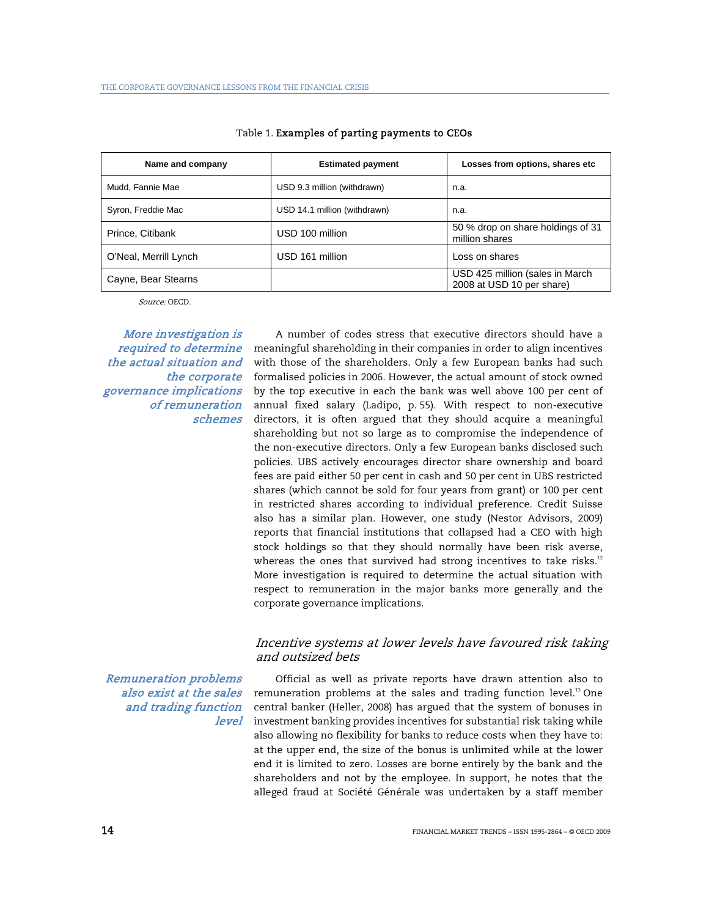| Name and company      | <b>Estimated payment</b>     | Losses from options, shares etc                              |
|-----------------------|------------------------------|--------------------------------------------------------------|
| Mudd, Fannie Mae      | USD 9.3 million (withdrawn)  | n.a.                                                         |
| Syron, Freddie Mac    | USD 14.1 million (withdrawn) | n.a.                                                         |
| Prince, Citibank      | USD 100 million              | 50 % drop on share holdings of 31<br>million shares          |
| O'Neal, Merrill Lynch | USD 161 million              | Loss on shares                                               |
| Cayne, Bear Stearns   |                              | USD 425 million (sales in March<br>2008 at USD 10 per share) |

#### Table 1. Examples of parting payments to CEOs

Source: OECD.

More investigation is required to determine the actual situation and the corporate governance implications of remuneration schemes

A number of codes stress that executive directors should have a meaningful shareholding in their companies in order to align incentives with those of the shareholders. Only a few European banks had such formalised policies in 2006. However, the actual amount of stock owned by the top executive in each the bank was well above 100 per cent of annual fixed salary (Ladipo, p. 55). With respect to non-executive directors, it is often argued that they should acquire a meaningful shareholding but not so large as to compromise the independence of the non-executive directors. Only a few European banks disclosed such policies. UBS actively encourages director share ownership and board fees are paid either 50 per cent in cash and 50 per cent in UBS restricted shares (which cannot be sold for four years from grant) or 100 per cent in restricted shares according to individual preference. Credit Suisse also has a similar plan. However, one study (Nestor Advisors, 2009) reports that financial institutions that collapsed had a CEO with high stock holdings so that they should normally have been risk averse, whereas the ones that survived had strong incentives to take risks.<sup>12</sup> More investigation is required to determine the actual situation with respect to remuneration in the major banks more generally and the corporate governance implications.

## Incentive systems at lower levels have favoured risk taking and outsized bets

Remuneration problems also exist at the sales and trading function level

Official as well as private reports have drawn attention also to remuneration problems at the sales and trading function level.<sup>13</sup> One central banker (Heller, 2008) has argued that the system of bonuses in investment banking provides incentives for substantial risk taking while also allowing no flexibility for banks to reduce costs when they have to: at the upper end, the size of the bonus is unlimited while at the lower end it is limited to zero. Losses are borne entirely by the bank and the shareholders and not by the employee. In support, he notes that the alleged fraud at Société Générale was undertaken by a staff member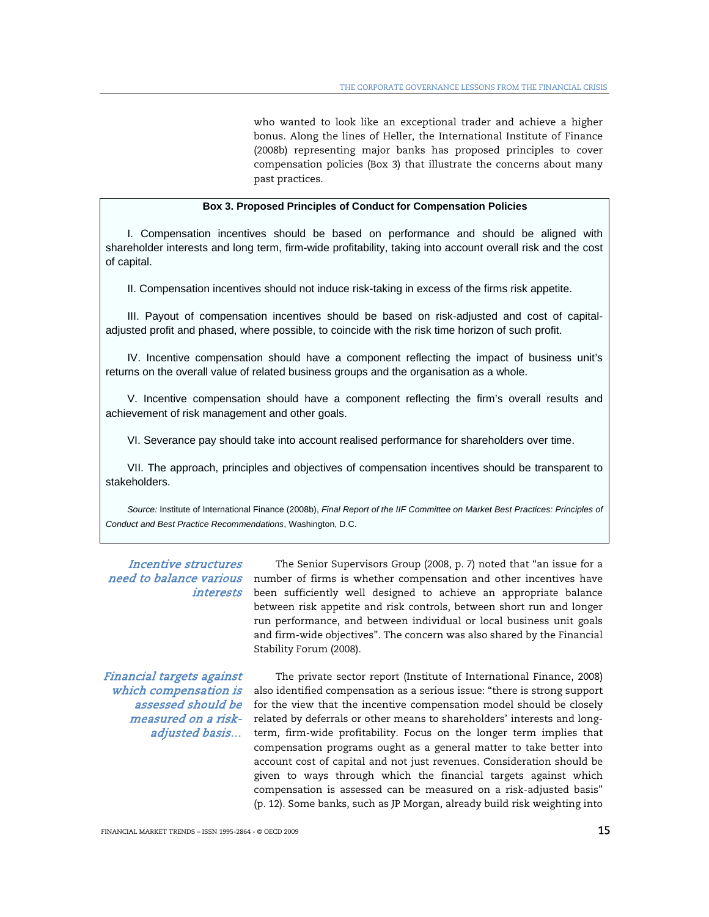who wanted to look like an exceptional trader and achieve a higher bonus. Along the lines of Heller, the International Institute of Finance (2008b) representing major banks has proposed principles to cover compensation policies (Box 3) that illustrate the concerns about many past practices.

#### **Box 3. Proposed Principles of Conduct for Compensation Policies**

I. Compensation incentives should be based on performance and should be aligned with shareholder interests and long term, firm-wide profitability, taking into account overall risk and the cost of capital.

II. Compensation incentives should not induce risk-taking in excess of the firms risk appetite.

III. Payout of compensation incentives should be based on risk-adjusted and cost of capitaladjusted profit and phased, where possible, to coincide with the risk time horizon of such profit.

IV. Incentive compensation should have a component reflecting the impact of business unit's returns on the overall value of related business groups and the organisation as a whole.

V. Incentive compensation should have a component reflecting the firm's overall results and achievement of risk management and other goals.

VI. Severance pay should take into account realised performance for shareholders over time.

VII. The approach, principles and objectives of compensation incentives should be transparent to stakeholders.

*Source:* Institute of International Finance (2008b), *Final Report of the IIF Committee on Market Best Practices: Principles of Conduct and Best Practice Recommendations*, Washington, D.C.

# Incentive structures

need to balance various humber of firms is whether compensation and other incentives have interests been sufficiently well designed to achieve an appropriate balance The Senior Supervisors Group (2008, p. 7) noted that "an issue for a between risk appetite and risk controls, between short run and longer run performance, and between individual or local business unit goals and firm-wide objectives". The concern was also shared by the Financial Stability Forum (2008).

Financial targets against which compensation is assessed should be measured on a riskadjusted basis…

The private sector report (Institute of International Finance, 2008) also identified compensation as a serious issue: "there is strong support for the view that the incentive compensation model should be closely related by deferrals or other means to shareholders' interests and longterm, firm-wide profitability. Focus on the longer term implies that compensation programs ought as a general matter to take better into account cost of capital and not just revenues. Consideration should be given to ways through which the financial targets against which compensation is assessed can be measured on a risk-adjusted basis" (p. 12). Some banks, such as JP Morgan, already build risk weighting into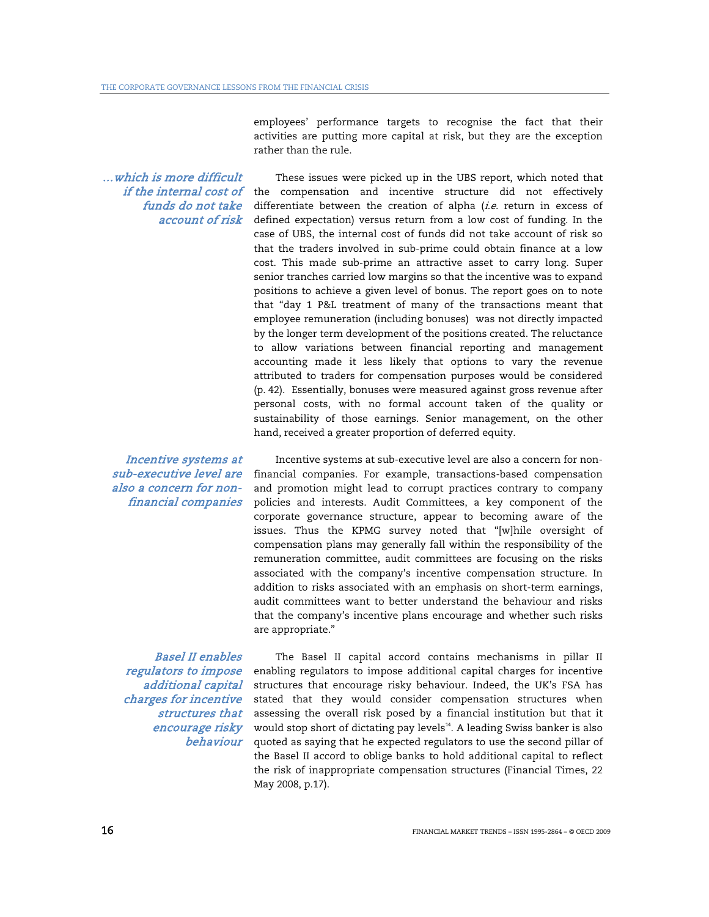employees' performance targets to recognise the fact that their activities are putting more capital at risk, but they are the exception rather than the rule.

…which is more difficult funds do not take account of risk

*if the internal cost of* the compensation and incentive structure did not effectively These issues were picked up in the UBS report, which noted that differentiate between the creation of alpha  $(i.e.$  return in excess of defined expectation) versus return from a low cost of funding. In the case of UBS, the internal cost of funds did not take account of risk so that the traders involved in sub-prime could obtain finance at a low cost. This made sub-prime an attractive asset to carry long. Super senior tranches carried low margins so that the incentive was to expand positions to achieve a given level of bonus. The report goes on to note that "day 1 P&L treatment of many of the transactions meant that employee remuneration (including bonuses) was not directly impacted by the longer term development of the positions created. The reluctance to allow variations between financial reporting and management accounting made it less likely that options to vary the revenue attributed to traders for compensation purposes would be considered (p. 42). Essentially, bonuses were measured against gross revenue after personal costs, with no formal account taken of the quality or sustainability of those earnings. Senior management, on the other hand, received a greater proportion of deferred equity.

Incentive systems at sub-executive level are also a concern for nonfinancial companies

Incentive systems at sub-executive level are also a concern for nonfinancial companies. For example, transactions-based compensation and promotion might lead to corrupt practices contrary to company policies and interests. Audit Committees, a key component of the corporate governance structure, appear to becoming aware of the issues. Thus the KPMG survey noted that "[w]hile oversight of compensation plans may generally fall within the responsibility of the remuneration committee, audit committees are focusing on the risks associated with the company's incentive compensation structure. In addition to risks associated with an emphasis on short-term earnings, audit committees want to better understand the behaviour and risks that the company's incentive plans encourage and whether such risks are appropriate."

Basel II enables regulators to impose additional capital charges for incentive structures that encourage risky behaviour

The Basel II capital accord contains mechanisms in pillar II enabling regulators to impose additional capital charges for incentive structures that encourage risky behaviour. Indeed, the UK's FSA has stated that they would consider compensation structures when assessing the overall risk posed by a financial institution but that it would stop short of dictating pay levels<sup>14</sup>. A leading Swiss banker is also quoted as saying that he expected regulators to use the second pillar of the Basel II accord to oblige banks to hold additional capital to reflect the risk of inappropriate compensation structures (Financial Times, 22 May 2008, p.17).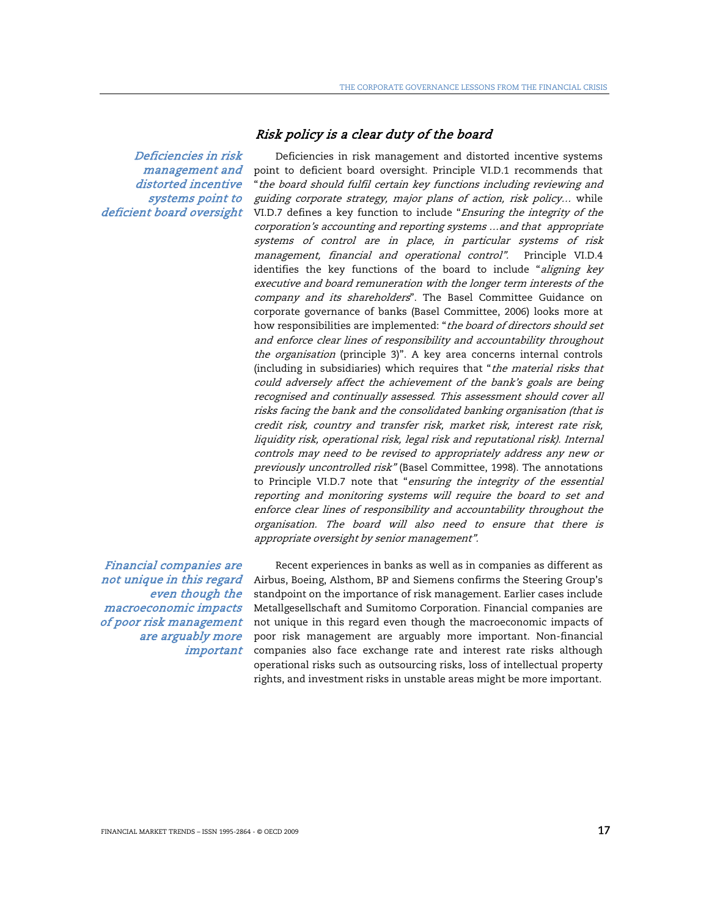Risk policy is a clear duty of the board

Deficiencies in risk management and distorted incentive systems point to deficient board oversight

Financial companies are not unique in this regard even though the macroeconomic impacts of poor risk management are arguably more important

Deficiencies in risk management and distorted incentive systems point to deficient board oversight. Principle VI.D.1 recommends that "the board should fulfil certain key functions including reviewing and guiding corporate strategy, major plans of action, risk policy… while VI.D.7 defines a key function to include "Ensuring the integrity of the corporation's accounting and reporting systems …and that appropriate systems of control are in place, in particular systems of risk management, financial and operational control". Principle VI.D.4 identifies the key functions of the board to include "aligning key executive and board remuneration with the longer term interests of the company and its shareholders". The Basel Committee Guidance on corporate governance of banks (Basel Committee, 2006) looks more at how responsibilities are implemented: "the board of directors should set and enforce clear lines of responsibility and accountability throughout the organisation (principle 3)". A key area concerns internal controls (including in subsidiaries) which requires that "the material risks that could adversely affect the achievement of the bank's goals are being recognised and continually assessed. This assessment should cover all risks facing the bank and the consolidated banking organisation (that is credit risk, country and transfer risk, market risk, interest rate risk, liquidity risk, operational risk, legal risk and reputational risk). Internal controls may need to be revised to appropriately address any new or previously uncontrolled risk" (Basel Committee, 1998). The annotations to Principle VI.D.7 note that "ensuring the integrity of the essential reporting and monitoring systems will require the board to set and enforce clear lines of responsibility and accountability throughout the organisation. The board will also need to ensure that there is appropriate oversight by senior management".

Recent experiences in banks as well as in companies as different as Airbus, Boeing, Alsthom, BP and Siemens confirms the Steering Group's standpoint on the importance of risk management. Earlier cases include Metallgesellschaft and Sumitomo Corporation. Financial companies are not unique in this regard even though the macroeconomic impacts of poor risk management are arguably more important. Non-financial companies also face exchange rate and interest rate risks although operational risks such as outsourcing risks, loss of intellectual property rights, and investment risks in unstable areas might be more important.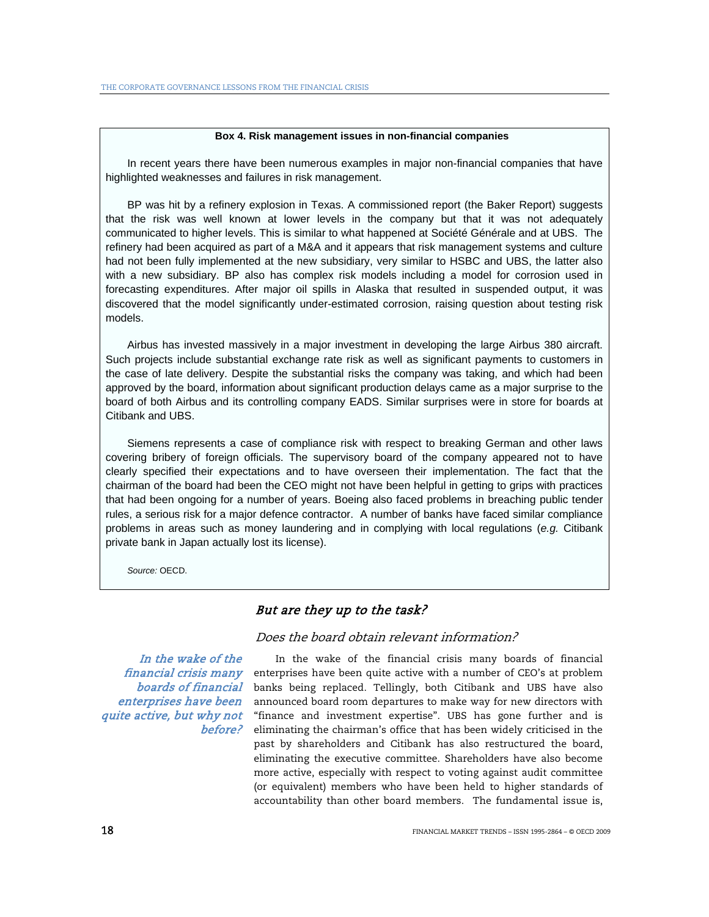#### **Box 4. Risk management issues in non-financial companies**

In recent years there have been numerous examples in major non-financial companies that have highlighted weaknesses and failures in risk management.

BP was hit by a refinery explosion in Texas. A commissioned report (the Baker Report) suggests that the risk was well known at lower levels in the company but that it was not adequately communicated to higher levels. This is similar to what happened at Société Générale and at UBS. The refinery had been acquired as part of a M&A and it appears that risk management systems and culture had not been fully implemented at the new subsidiary, very similar to HSBC and UBS, the latter also with a new subsidiary. BP also has complex risk models including a model for corrosion used in forecasting expenditures. After major oil spills in Alaska that resulted in suspended output, it was discovered that the model significantly under-estimated corrosion, raising question about testing risk models.

Airbus has invested massively in a major investment in developing the large Airbus 380 aircraft. Such projects include substantial exchange rate risk as well as significant payments to customers in the case of late delivery. Despite the substantial risks the company was taking, and which had been approved by the board, information about significant production delays came as a major surprise to the board of both Airbus and its controlling company EADS. Similar surprises were in store for boards at Citibank and UBS.

Siemens represents a case of compliance risk with respect to breaking German and other laws covering bribery of foreign officials. The supervisory board of the company appeared not to have clearly specified their expectations and to have overseen their implementation. The fact that the chairman of the board had been the CEO might not have been helpful in getting to grips with practices that had been ongoing for a number of years. Boeing also faced problems in breaching public tender rules, a serious risk for a major defence contractor. A number of banks have faced similar compliance problems in areas such as money laundering and in complying with local regulations (*e.g.* Citibank private bank in Japan actually lost its license).

*Source:* OECD.

## But are they up to the task?

Does the board obtain relevant information?

In the wake of the financial crisis many boards of financial enterprises have been quite active, but why not before?

In the wake of the financial crisis many boards of financial enterprises have been quite active with a number of CEO's at problem banks being replaced. Tellingly, both Citibank and UBS have also announced board room departures to make way for new directors with "finance and investment expertise". UBS has gone further and is eliminating the chairman's office that has been widely criticised in the past by shareholders and Citibank has also restructured the board, eliminating the executive committee. Shareholders have also become more active, especially with respect to voting against audit committee (or equivalent) members who have been held to higher standards of accountability than other board members. The fundamental issue is,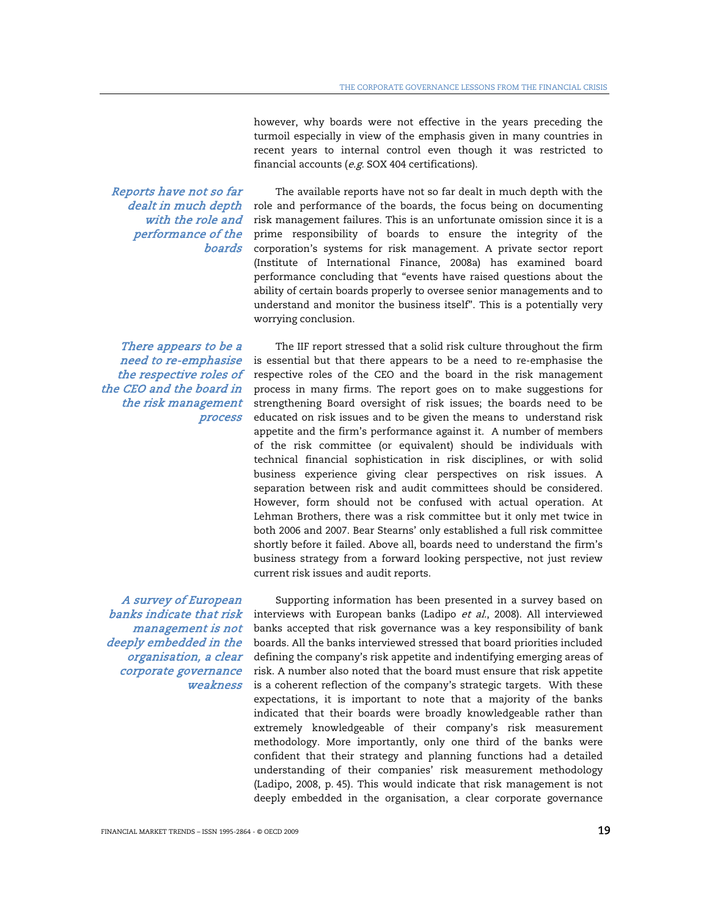however, why boards were not effective in the years preceding the turmoil especially in view of the emphasis given in many countries in recent years to internal control even though it was restricted to financial accounts ( $e.g.$  SOX 404 certifications).

Reports have not so far with the role and performance of the boards

dealt in much depth role and performance of the boards, the focus being on documenting The available reports have not so far dealt in much depth with the risk management failures. This is an unfortunate omission since it is a prime responsibility of boards to ensure the integrity of the corporation's systems for risk management. A private sector report (Institute of International Finance, 2008a) has examined board performance concluding that "events have raised questions about the ability of certain boards properly to oversee senior managements and to understand and monitor the business itself". This is a potentially very worrying conclusion.

There appears to be a need to re-emphasise the respective roles of the CEO and the board in the risk management process

A survey of European banks indicate that risk management is not deeply embedded in the organisation, a clear corporate governance weakness

The IIF report stressed that a solid risk culture throughout the firm is essential but that there appears to be a need to re-emphasise the respective roles of the CEO and the board in the risk management process in many firms. The report goes on to make suggestions for strengthening Board oversight of risk issues; the boards need to be educated on risk issues and to be given the means to understand risk appetite and the firm's performance against it. A number of members of the risk committee (or equivalent) should be individuals with technical financial sophistication in risk disciplines, or with solid business experience giving clear perspectives on risk issues. A separation between risk and audit committees should be considered. However, form should not be confused with actual operation. At Lehman Brothers, there was a risk committee but it only met twice in both 2006 and 2007. Bear Stearns' only established a full risk committee shortly before it failed. Above all, boards need to understand the firm's business strategy from a forward looking perspective, not just review current risk issues and audit reports.

Supporting information has been presented in a survey based on interviews with European banks (Ladipo et al., 2008). All interviewed banks accepted that risk governance was a key responsibility of bank boards. All the banks interviewed stressed that board priorities included defining the company's risk appetite and indentifying emerging areas of risk. A number also noted that the board must ensure that risk appetite is a coherent reflection of the company's strategic targets. With these expectations, it is important to note that a majority of the banks indicated that their boards were broadly knowledgeable rather than extremely knowledgeable of their company's risk measurement methodology. More importantly, only one third of the banks were confident that their strategy and planning functions had a detailed understanding of their companies' risk measurement methodology (Ladipo, 2008, p. 45). This would indicate that risk management is not deeply embedded in the organisation, a clear corporate governance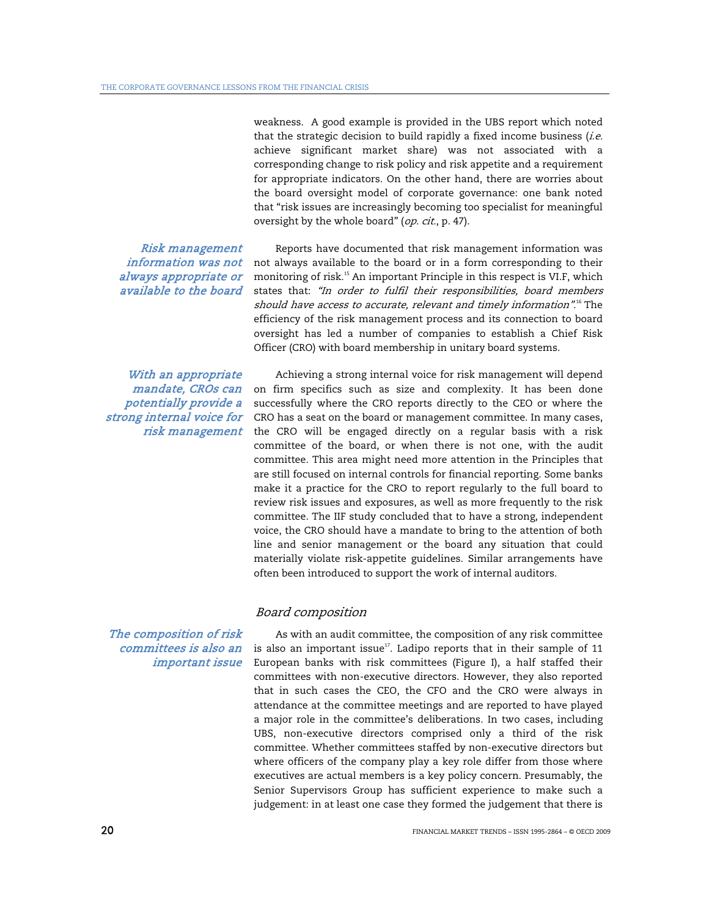weakness. A good example is provided in the UBS report which noted that the strategic decision to build rapidly a fixed income business  $(i.e.$ achieve significant market share) was not associated with a corresponding change to risk policy and risk appetite and a requirement for appropriate indicators. On the other hand, there are worries about the board oversight model of corporate governance: one bank noted that "risk issues are increasingly becoming too specialist for meaningful oversight by the whole board" (op. cit., p. 47).

Risk management information was not always appropriate or available to the board Reports have documented that risk management information was not always available to the board or in a form corresponding to their monitoring of risk.<sup>15</sup> An important Principle in this respect is VI.F, which states that: "In order to fulfil their responsibilities, board members should have access to accurate, relevant and timely information".<sup>16</sup> The efficiency of the risk management process and its connection to board oversight has led a number of companies to establish a Chief Risk Officer (CRO) with board membership in unitary board systems.

With an appropriate mandate, CROs can potentially provide a strong internal voice for risk management

Achieving a strong internal voice for risk management will depend on firm specifics such as size and complexity. It has been done successfully where the CRO reports directly to the CEO or where the CRO has a seat on the board or management committee. In many cases, the CRO will be engaged directly on a regular basis with a risk committee of the board, or when there is not one, with the audit committee. This area might need more attention in the Principles that are still focused on internal controls for financial reporting. Some banks make it a practice for the CRO to report regularly to the full board to review risk issues and exposures, as well as more frequently to the risk committee. The IIF study concluded that to have a strong, independent voice, the CRO should have a mandate to bring to the attention of both line and senior management or the board any situation that could materially violate risk-appetite guidelines. Similar arrangements have often been introduced to support the work of internal auditors.

#### Board composition

As with an audit committee, the composition of any risk committee is also an important issue $17$ . Ladipo reports that in their sample of 11 European banks with risk committees (Figure I), a half staffed their committees with non-executive directors. However, they also reported that in such cases the CEO, the CFO and the CRO were always in attendance at the committee meetings and are reported to have played a major role in the committee's deliberations. In two cases, including UBS, non-executive directors comprised only a third of the risk committee. Whether committees staffed by non-executive directors but where officers of the company play a key role differ from those where executives are actual members is a key policy concern. Presumably, the Senior Supervisors Group has sufficient experience to make such a judgement: in at least one case they formed the judgement that there is

## The composition of risk committees is also an important issue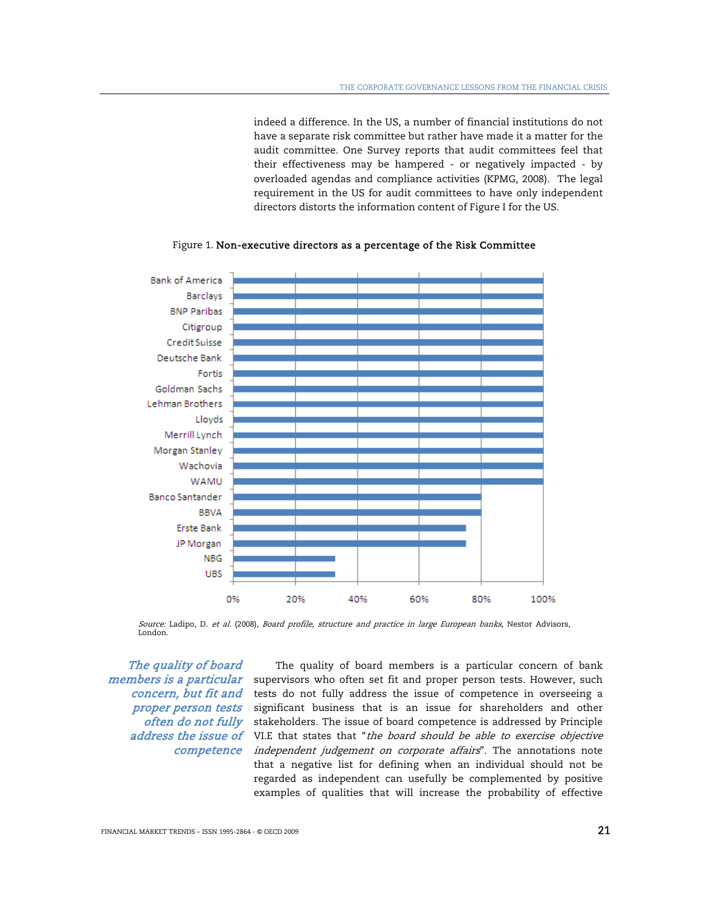indeed a difference. In the US, a number of financial institutions do not have a separate risk committee but rather have made it a matter for the audit committee. One Survey reports that audit committees feel that their effectiveness may be hampered - or negatively impacted - by overloaded agendas and compliance activities (KPMG, 2008). The legal requirement in the US for audit committees to have only independent directors distorts the information content of Figure I for the US.



Figure 1. Non-executive directors as a percentage of the Risk Committee

Source: Ladipo, D. et al. (2008), Board profile, structure and practice in large European banks, Nestor Advisors, London.

The quality of board members is a particular concern, but fit and proper person tests often do not fully

address the issue of VI.E that states that "the board should be able to exercise objective *competence independent judgement on corporate affairs*". The annotations note The quality of board members is a particular concern of bank supervisors who often set fit and proper person tests. However, such tests do not fully address the issue of competence in overseeing a significant business that is an issue for shareholders and other stakeholders. The issue of board competence is addressed by Principle that a negative list for defining when an individual should not be regarded as independent can usefully be complemented by positive examples of qualities that will increase the probability of effective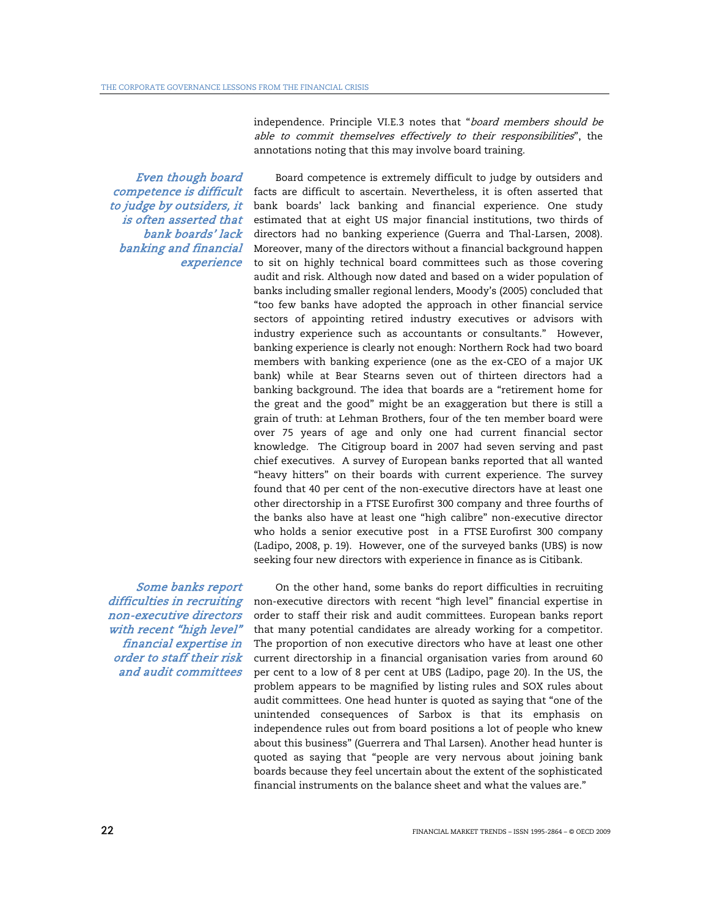independence. Principle VI.E.3 notes that "board members should be able to commit themselves effectively to their responsibilities", the annotations noting that this may involve board training.

Even though board competence is difficult to judge by outsiders, it is often asserted that bank boards' lack banking and financial experience

Board competence is extremely difficult to judge by outsiders and facts are difficult to ascertain. Nevertheless, it is often asserted that bank boards' lack banking and financial experience. One study estimated that at eight US major financial institutions, two thirds of directors had no banking experience (Guerra and Thal-Larsen, 2008). Moreover, many of the directors without a financial background happen to sit on highly technical board committees such as those covering audit and risk. Although now dated and based on a wider population of banks including smaller regional lenders, Moody's (2005) concluded that "too few banks have adopted the approach in other financial service sectors of appointing retired industry executives or advisors with industry experience such as accountants or consultants." However, banking experience is clearly not enough: Northern Rock had two board members with banking experience (one as the ex-CEO of a major UK bank) while at Bear Stearns seven out of thirteen directors had a banking background. The idea that boards are a "retirement home for the great and the good" might be an exaggeration but there is still a grain of truth: at Lehman Brothers, four of the ten member board were over 75 years of age and only one had current financial sector knowledge. The Citigroup board in 2007 had seven serving and past chief executives. A survey of European banks reported that all wanted "heavy hitters" on their boards with current experience. The survey found that 40 per cent of the non-executive directors have at least one other directorship in a FTSE Eurofirst 300 company and three fourths of the banks also have at least one "high calibre" non-executive director who holds a senior executive post in a FTSE Eurofirst 300 company (Ladipo, 2008, p. 19). However, one of the surveyed banks (UBS) is now seeking four new directors with experience in finance as is Citibank.

Some banks report difficulties in recruiting non-executive directors with recent "high level" financial expertise in order to staff their risk and audit committees

On the other hand, some banks do report difficulties in recruiting non-executive directors with recent "high level" financial expertise in order to staff their risk and audit committees. European banks report that many potential candidates are already working for a competitor. The proportion of non executive directors who have at least one other current directorship in a financial organisation varies from around 60 per cent to a low of 8 per cent at UBS (Ladipo, page 20). In the US, the problem appears to be magnified by listing rules and SOX rules about audit committees. One head hunter is quoted as saying that "one of the unintended consequences of Sarbox is that its emphasis on independence rules out from board positions a lot of people who knew about this business" (Guerrera and Thal Larsen). Another head hunter is quoted as saying that "people are very nervous about joining bank boards because they feel uncertain about the extent of the sophisticated financial instruments on the balance sheet and what the values are."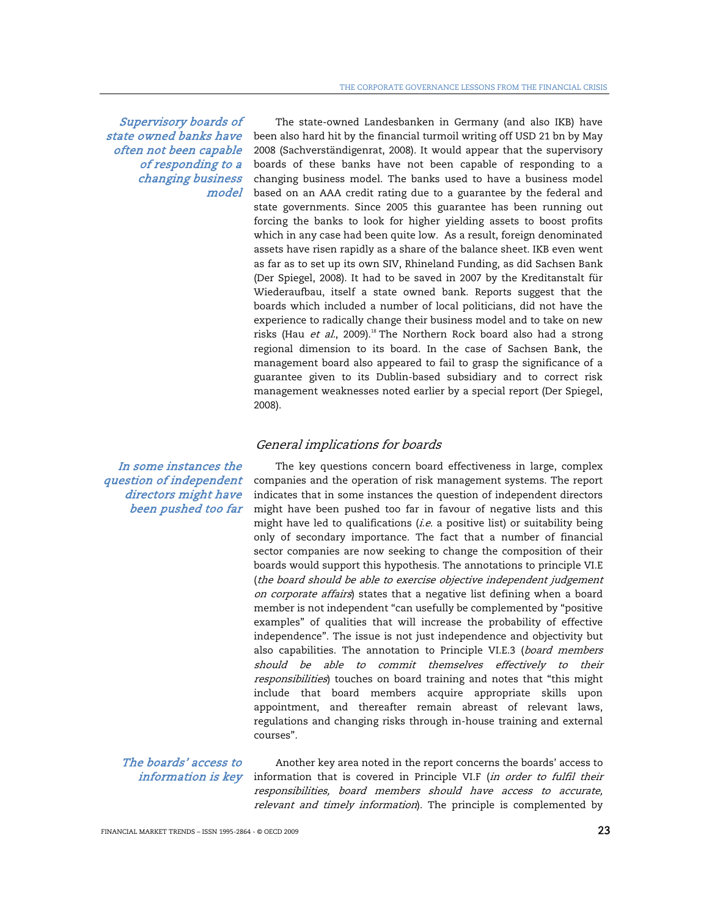Supervisory boards of state owned banks have often not been capable of responding to a changing business model

The state-owned Landesbanken in Germany (and also IKB) have been also hard hit by the financial turmoil writing off USD 21 bn by May 2008 (Sachverständigenrat, 2008). It would appear that the supervisory boards of these banks have not been capable of responding to a changing business model. The banks used to have a business model based on an AAA credit rating due to a guarantee by the federal and state governments. Since 2005 this guarantee has been running out forcing the banks to look for higher yielding assets to boost profits which in any case had been quite low. As a result, foreign denominated assets have risen rapidly as a share of the balance sheet. IKB even went as far as to set up its own SIV, Rhineland Funding, as did Sachsen Bank (Der Spiegel, 2008). It had to be saved in 2007 by the Kreditanstalt für Wiederaufbau, itself a state owned bank. Reports suggest that the boards which included a number of local politicians, did not have the experience to radically change their business model and to take on new risks (Hau et al., 2009).<sup>18</sup> The Northern Rock board also had a strong regional dimension to its board. In the case of Sachsen Bank, the management board also appeared to fail to grasp the significance of a guarantee given to its Dublin-based subsidiary and to correct risk management weaknesses noted earlier by a special report (Der Spiegel, 2008).

#### General implications for boards

In some instances the question of independent directors might have been pushed too far

The key questions concern board effectiveness in large, complex companies and the operation of risk management systems. The report indicates that in some instances the question of independent directors might have been pushed too far in favour of negative lists and this might have led to qualifications  $(i.e.$  a positive list) or suitability being only of secondary importance. The fact that a number of financial sector companies are now seeking to change the composition of their boards would support this hypothesis. The annotations to principle VI.E (the board should be able to exercise objective independent judgement on corporate affairs) states that a negative list defining when a board member is not independent "can usefully be complemented by "positive examples" of qualities that will increase the probability of effective independence". The issue is not just independence and objectivity but also capabilities. The annotation to Principle VI.E.3 (board members should be able to commit themselves effectively to their responsibilities) touches on board training and notes that "this might include that board members acquire appropriate skills upon appointment, and thereafter remain abreast of relevant laws, regulations and changing risks through in-house training and external courses".

The boards' access to information is key

Another key area noted in the report concerns the boards' access to information that is covered in Principle VI.F (in order to fulfil their responsibilities, board members should have access to accurate, relevant and timely information). The principle is complemented by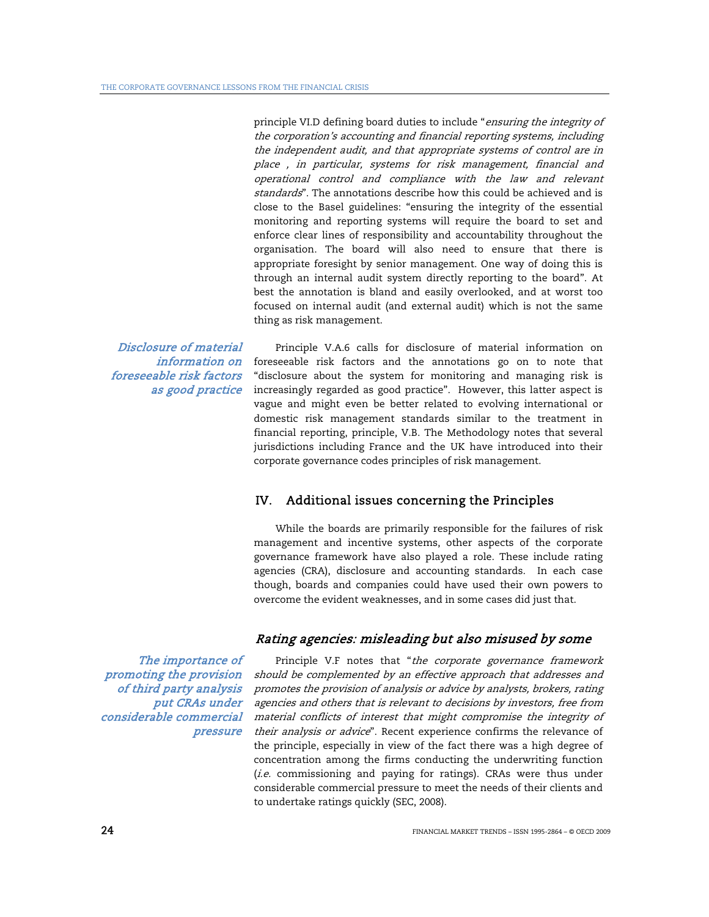principle VI.D defining board duties to include "ensuring the integrity of the corporation's accounting and financial reporting systems, including the independent audit, and that appropriate systems of control are in place , in particular, systems for risk management, financial and operational control and compliance with the law and relevant standards". The annotations describe how this could be achieved and is close to the Basel guidelines: "ensuring the integrity of the essential monitoring and reporting systems will require the board to set and enforce clear lines of responsibility and accountability throughout the organisation. The board will also need to ensure that there is appropriate foresight by senior management. One way of doing this is through an internal audit system directly reporting to the board". At best the annotation is bland and easily overlooked, and at worst too focused on internal audit (and external audit) which is not the same thing as risk management.

Disclosure of material information on foreseeable risk factors as good practice

Principle V.A.6 calls for disclosure of material information on foreseeable risk factors and the annotations go on to note that "disclosure about the system for monitoring and managing risk is increasingly regarded as good practice". However, this latter aspect is vague and might even be better related to evolving international or domestic risk management standards similar to the treatment in financial reporting, principle, V.B. The Methodology notes that several jurisdictions including France and the UK have introduced into their corporate governance codes principles of risk management.

## IV. Additional issues concerning the Principles

 While the boards are primarily responsible for the failures of risk management and incentive systems, other aspects of the corporate governance framework have also played a role. These include rating agencies (CRA), disclosure and accounting standards. In each case though, boards and companies could have used their own powers to overcome the evident weaknesses, and in some cases did just that.

## Rating agencies: misleading but also misused by some

Principle V.F notes that "the corporate governance framework should be complemented by an effective approach that addresses and promotes the provision of analysis or advice by analysts, brokers, rating agencies and others that is relevant to decisions by investors, free from material conflicts of interest that might compromise the integrity of their analysis or advice". Recent experience confirms the relevance of the principle, especially in view of the fact there was a high degree of concentration among the firms conducting the underwriting function  $(i.e.$  commissioning and paying for ratings). CRAs were thus under considerable commercial pressure to meet the needs of their clients and to undertake ratings quickly (SEC, 2008).

The importance of promoting the provision of third party analysis put CRAs under considerable commercial pressure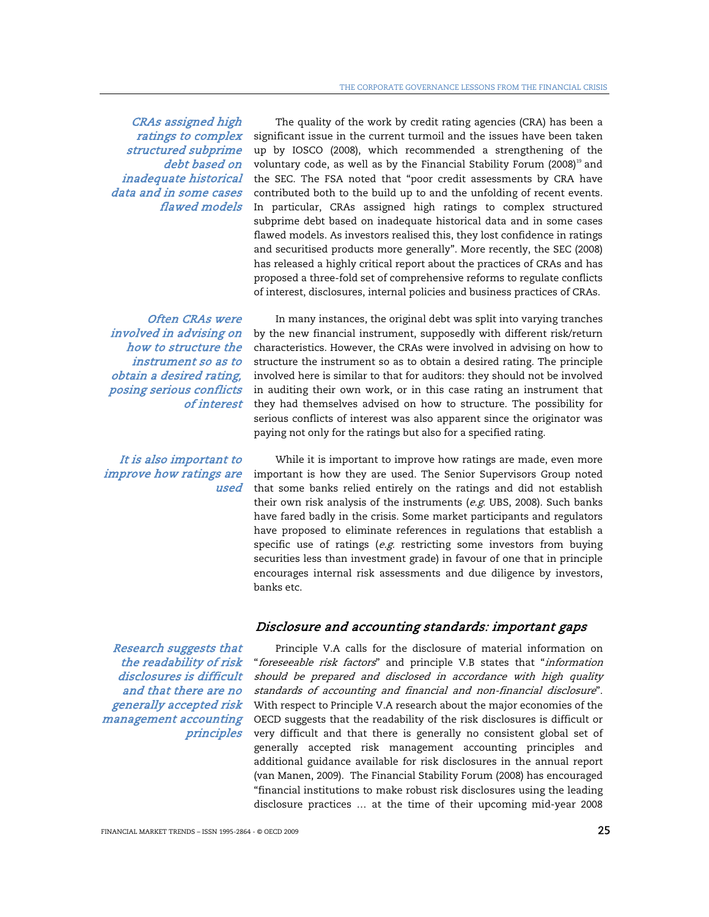CRAs assigned high ratings to complex structured subprime debt based on inadequate historical data and in some cases flawed models

Often CRAs were involved in advising on how to structure the instrument so as to obtain a desired rating, posing serious conflicts of interest

It is also important to improve how ratings are used

The quality of the work by credit rating agencies (CRA) has been a significant issue in the current turmoil and the issues have been taken up by IOSCO (2008), which recommended a strengthening of the voluntary code, as well as by the Financial Stability Forum (2008)<sup>19</sup> and the SEC. The FSA noted that "poor credit assessments by CRA have contributed both to the build up to and the unfolding of recent events. In particular, CRAs assigned high ratings to complex structured subprime debt based on inadequate historical data and in some cases flawed models. As investors realised this, they lost confidence in ratings and securitised products more generally". More recently, the SEC (2008) has released a highly critical report about the practices of CRAs and has proposed a three-fold set of comprehensive reforms to regulate conflicts of interest, disclosures, internal policies and business practices of CRAs.

In many instances, the original debt was split into varying tranches by the new financial instrument, supposedly with different risk/return characteristics. However, the CRAs were involved in advising on how to structure the instrument so as to obtain a desired rating. The principle involved here is similar to that for auditors: they should not be involved in auditing their own work, or in this case rating an instrument that they had themselves advised on how to structure. The possibility for serious conflicts of interest was also apparent since the originator was paying not only for the ratings but also for a specified rating.

While it is important to improve how ratings are made, even more important is how they are used. The Senior Supervisors Group noted that some banks relied entirely on the ratings and did not establish their own risk analysis of the instruments ( $e.g.$  UBS, 2008). Such banks have fared badly in the crisis. Some market participants and regulators have proposed to eliminate references in regulations that establish a specific use of ratings  $(e.g.$  restricting some investors from buying securities less than investment grade) in favour of one that in principle encourages internal risk assessments and due diligence by investors, banks etc.

## Disclosure and accounting standards: important gaps

Research suggests that the readability of risk disclosures is difficult and that there are no generally accepted risk management accounting principles

Principle V.A calls for the disclosure of material information on "foreseeable risk factors" and principle V.B states that "information should be prepared and disclosed in accordance with high quality standards of accounting and financial and non-financial disclosure". With respect to Principle V.A research about the major economies of the OECD suggests that the readability of the risk disclosures is difficult or very difficult and that there is generally no consistent global set of generally accepted risk management accounting principles and additional guidance available for risk disclosures in the annual report (van Manen, 2009). The Financial Stability Forum (2008) has encouraged "financial institutions to make robust risk disclosures using the leading disclosure practices … at the time of their upcoming mid-year 2008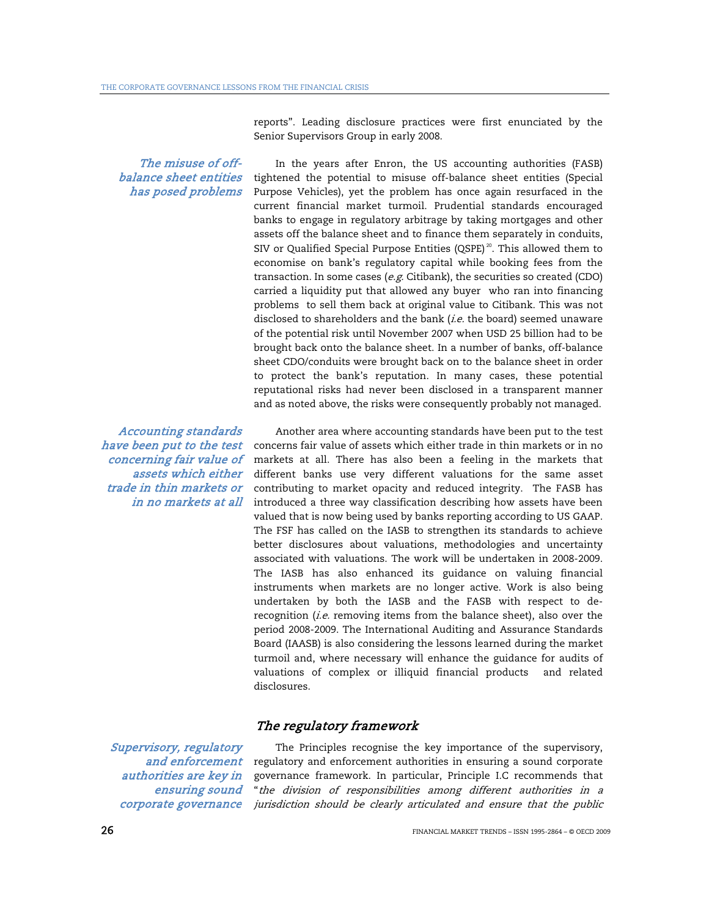reports". Leading disclosure practices were first enunciated by the Senior Supervisors Group in early 2008.

## The misuse of offbalance sheet entities has posed problems

Accounting standards have been put to the test concerning fair value of assets which either trade in thin markets or in no markets at all

Supervisory, regulatory and enforcement authorities are key in ensuring sound corporate governance

In the years after Enron, the US accounting authorities (FASB) tightened the potential to misuse off-balance sheet entities (Special Purpose Vehicles), yet the problem has once again resurfaced in the current financial market turmoil. Prudential standards encouraged banks to engage in regulatory arbitrage by taking mortgages and other assets off the balance sheet and to finance them separately in conduits, SIV or Qualified Special Purpose Entities (QSPE)<sup>20</sup>. This allowed them to economise on bank's regulatory capital while booking fees from the transaction. In some cases ( $e.g.$  Citibank), the securities so created (CDO) carried a liquidity put that allowed any buyer who ran into financing problems to sell them back at original value to Citibank. This was not disclosed to shareholders and the bank (i.e. the board) seemed unaware of the potential risk until November 2007 when USD 25 billion had to be brought back onto the balance sheet. In a number of banks, off-balance sheet CDO/conduits were brought back on to the balance sheet in order to protect the bank's reputation. In many cases, these potential reputational risks had never been disclosed in a transparent manner and as noted above, the risks were consequently probably not managed.

Another area where accounting standards have been put to the test concerns fair value of assets which either trade in thin markets or in no markets at all. There has also been a feeling in the markets that different banks use very different valuations for the same asset contributing to market opacity and reduced integrity. The FASB has introduced a three way classification describing how assets have been valued that is now being used by banks reporting according to US GAAP. The FSF has called on the IASB to strengthen its standards to achieve better disclosures about valuations, methodologies and uncertainty associated with valuations. The work will be undertaken in 2008-2009. The IASB has also enhanced its guidance on valuing financial instruments when markets are no longer active. Work is also being undertaken by both the IASB and the FASB with respect to derecognition (i.e. removing items from the balance sheet), also over the period 2008-2009. The International Auditing and Assurance Standards Board (IAASB) is also considering the lessons learned during the market turmoil and, where necessary will enhance the guidance for audits of valuations of complex or illiquid financial products and related disclosures.

## The regulatory framework

The Principles recognise the key importance of the supervisory, regulatory and enforcement authorities in ensuring a sound corporate governance framework. In particular, Principle I.C recommends that "the division of responsibilities among different authorities in a jurisdiction should be clearly articulated and ensure that the public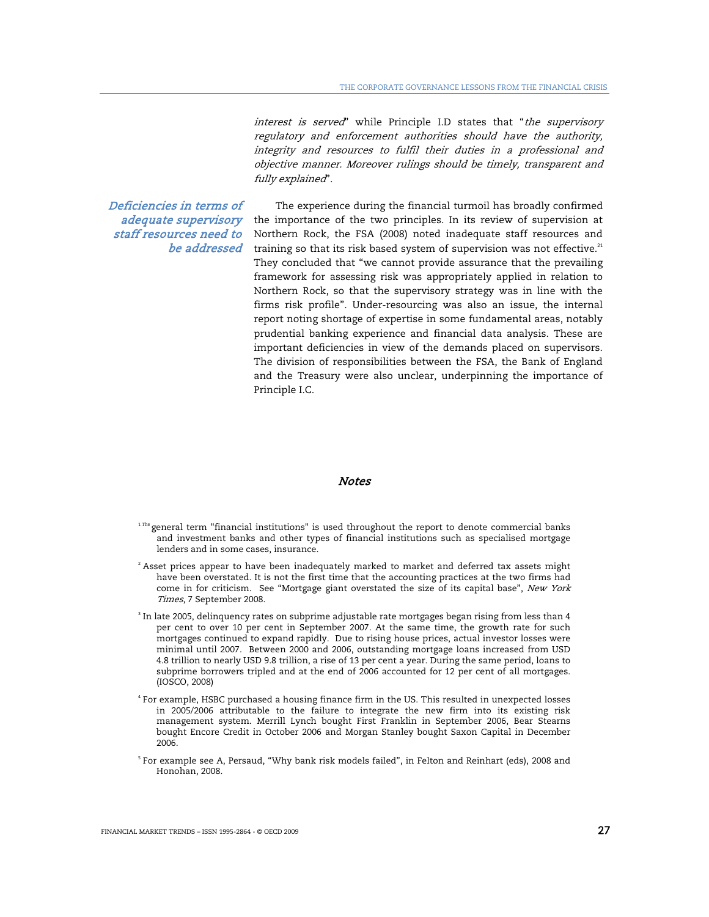interest is served" while Principle I.D states that "the supervisory regulatory and enforcement authorities should have the authority, integrity and resources to fulfil their duties in a professional and objective manner. Moreover rulings should be timely, transparent and fully explained".

Deficiencies in terms of adequate supervisory staff resources need to be addressed

The experience during the financial turmoil has broadly confirmed the importance of the two principles. In its review of supervision at Northern Rock, the FSA (2008) noted inadequate staff resources and training so that its risk based system of supervision was not effective.<sup>21</sup> They concluded that "we cannot provide assurance that the prevailing framework for assessing risk was appropriately applied in relation to Northern Rock, so that the supervisory strategy was in line with the firms risk profile". Under-resourcing was also an issue, the internal report noting shortage of expertise in some fundamental areas, notably prudential banking experience and financial data analysis. These are important deficiencies in view of the demands placed on supervisors. The division of responsibilities between the FSA, the Bank of England and the Treasury were also unclear, underpinning the importance of Principle I.C.

#### **Notes**

- $1$ <sup>The</sup> general term "financial institutions" is used throughout the report to denote commercial banks and investment banks and other types of financial institutions such as specialised mortgage lenders and in some cases, insurance.
- $^{\rm 2}$  Asset prices appear to have been inadequately marked to market and deferred tax assets might have been overstated. It is not the first time that the accounting practices at the two firms had come in for criticism. See "Mortgage giant overstated the size of its capital base", New York Times, 7 September 2008.
- $^{\rm 3}$  In late 2005, delinquency rates on subprime adjustable rate mortgages began rising from less than 4 per cent to over 10 per cent in September 2007. At the same time, the growth rate for such mortgages continued to expand rapidly. Due to rising house prices, actual investor losses were minimal until 2007. Between 2000 and 2006, outstanding mortgage loans increased from USD 4.8 trillion to nearly USD 9.8 trillion, a rise of 13 per cent a year. During the same period, loans to subprime borrowers tripled and at the end of 2006 accounted for 12 per cent of all mortgages. (IOSCO, 2008)
- 4 For example, HSBC purchased a housing finance firm in the US. This resulted in unexpected losses in 2005/2006 attributable to the failure to integrate the new firm into its existing risk management system. Merrill Lynch bought First Franklin in September 2006, Bear Stearns bought Encore Credit in October 2006 and Morgan Stanley bought Saxon Capital in December 2006.
- $^{\circ}$  For example see A, Persaud, "Why bank risk models failed", in Felton and Reinhart (eds), 2008 and Honohan, 2008.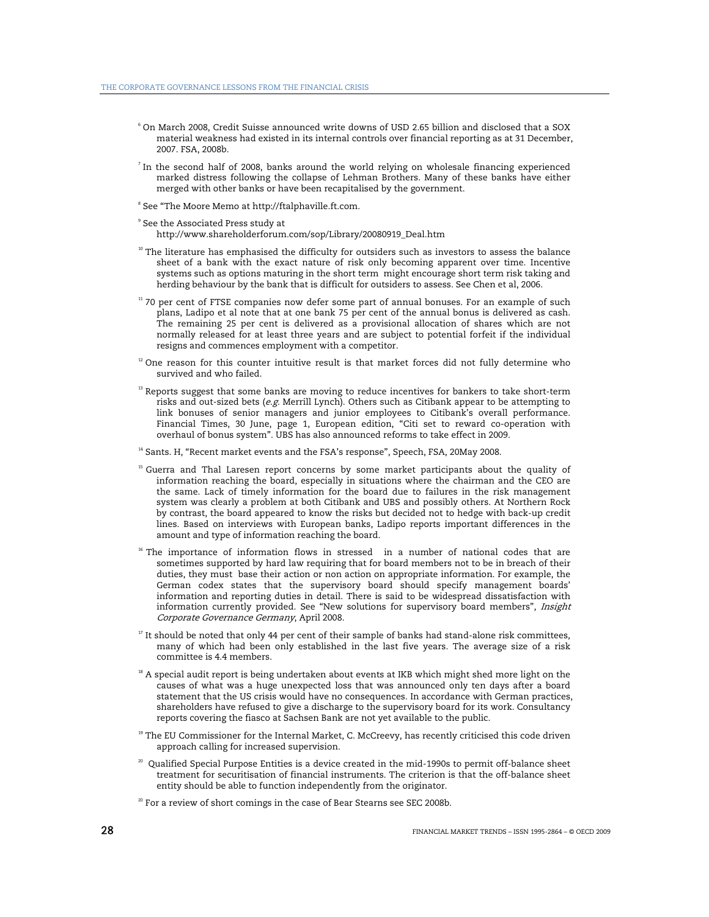- $^{\circ}$  On March 2008, Credit Suisse announced write downs of USD 2.65 billion and disclosed that a SOX material weakness had existed in its internal controls over financial reporting as at 31 December, 2007. FSA, 2008b.
- In the second half of 2008, banks around the world relying on wholesale financing experienced marked distress following the collapse of Lehman Brothers. Many of these banks have either merged with other banks or have been recapitalised by the government.
- 8 See "The Moore Memo at http://ftalphaville.ft.com.
- 9 See the Associated Press study at http://www.shareholderforum.com/sop/Library/20080919\_Deal.htm
- $10$  The literature has emphasised the difficulty for outsiders such as investors to assess the balance sheet of a bank with the exact nature of risk only becoming apparent over time. Incentive systems such as options maturing in the short term might encourage short term risk taking and herding behaviour by the bank that is difficult for outsiders to assess. See Chen et al, 2006.
- <sup>11</sup> 70 per cent of FTSE companies now defer some part of annual bonuses. For an example of such plans, Ladipo et al note that at one bank 75 per cent of the annual bonus is delivered as cash. The remaining 25 per cent is delivered as a provisional allocation of shares which are not normally released for at least three years and are subject to potential forfeit if the individual resigns and commences employment with a competitor.
- $12$  One reason for this counter intuitive result is that market forces did not fully determine who survived and who failed.
- $13$  Reports suggest that some banks are moving to reduce incentives for bankers to take short-term risks and out-sized bets (e.g. Merrill Lynch). Others such as Citibank appear to be attempting to link bonuses of senior managers and junior employees to Citibank's overall performance. Financial Times, 30 June, page 1, European edition, "Citi set to reward co-operation with overhaul of bonus system". UBS has also announced reforms to take effect in 2009.
- <sup>14</sup> Sants. H, "Recent market events and the FSA's response", Speech, FSA, 20May 2008.
- <sup>15</sup> Guerra and Thal Laresen report concerns by some market participants about the quality of information reaching the board, especially in situations where the chairman and the CEO are the same. Lack of timely information for the board due to failures in the risk management system was clearly a problem at both Citibank and UBS and possibly others. At Northern Rock by contrast, the board appeared to know the risks but decided not to hedge with back-up credit lines. Based on interviews with European banks, Ladipo reports important differences in the amount and type of information reaching the board.
- <sup>16</sup> The importance of information flows in stressed in a number of national codes that are sometimes supported by hard law requiring that for board members not to be in breach of their duties, they must base their action or non action on appropriate information. For example, the German codex states that the supervisory board should specify management boards' information and reporting duties in detail. There is said to be widespread dissatisfaction with information currently provided. See "New solutions for supervisory board members", Insight Corporate Governance Germany, April 2008.
- $17$  It should be noted that only 44 per cent of their sample of banks had stand-alone risk committees, many of which had been only established in the last five years. The average size of a risk committee is 4.4 members.
- $18$  A special audit report is being undertaken about events at IKB which might shed more light on the causes of what was a huge unexpected loss that was announced only ten days after a board statement that the US crisis would have no consequences. In accordance with German practices, shareholders have refused to give a discharge to the supervisory board for its work. Consultancy reports covering the fiasco at Sachsen Bank are not yet available to the public.
- <sup>19</sup> The EU Commissioner for the Internal Market, C. McCreevy, has recently criticised this code driven approach calling for increased supervision.
- <sup>20</sup> Qualified Special Purpose Entities is a device created in the mid-1990s to permit off-balance sheet treatment for securitisation of financial instruments. The criterion is that the off-balance sheet entity should be able to function independently from the originator.
- $20$  For a review of short comings in the case of Bear Stearns see SEC 2008b.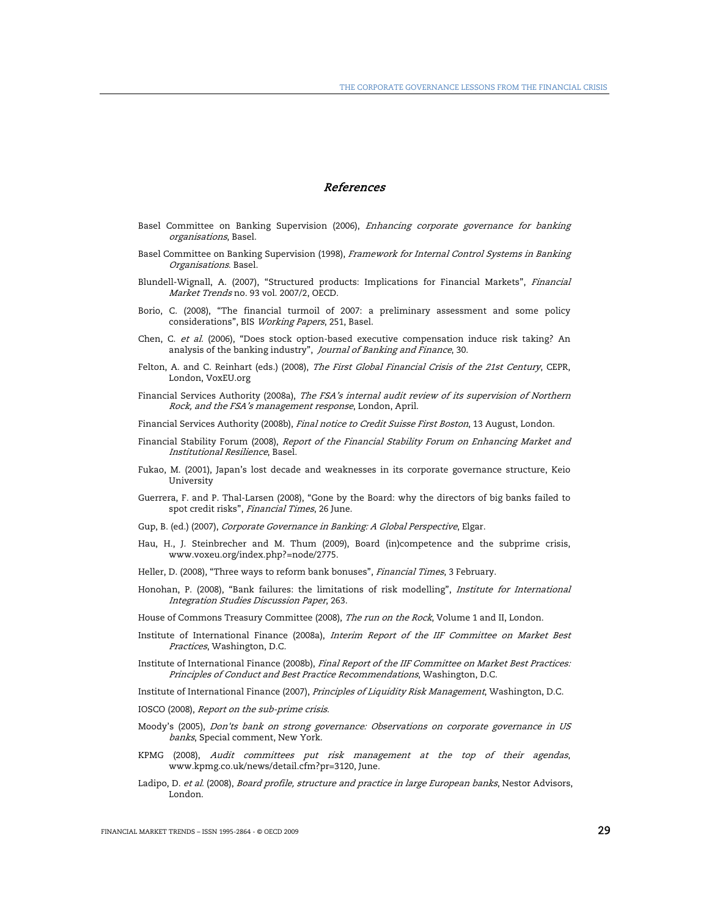#### References

- Basel Committee on Banking Supervision (2006), Enhancing corporate governance for banking organisations, Basel.
- Basel Committee on Banking Supervision (1998), Framework for Internal Control Systems in Banking Organisations. Basel.
- Blundell-Wignall, A. (2007), "Structured products: Implications for Financial Markets", Financial Market Trends no. 93 vol. 2007/2, OECD.
- Borio, C. (2008), "The financial turmoil of 2007: a preliminary assessment and some policy considerations", BIS Working Papers, 251, Basel.
- Chen, C. et al. (2006), "Does stock option-based executive compensation induce risk taking? An analysis of the banking industry", Journal of Banking and Finance, 30.
- Felton, A. and C. Reinhart (eds.) (2008), The First Global Financial Crisis of the 21st Century, CEPR, London, VoxEU.org
- Financial Services Authority (2008a), The FSA's internal audit review of its supervision of Northern Rock, and the FSA's management response, London, April.
- Financial Services Authority (2008b), Final notice to Credit Suisse First Boston, 13 August, London.
- Financial Stability Forum (2008), Report of the Financial Stability Forum on Enhancing Market and Institutional Resilience, Basel.
- Fukao, M. (2001), Japan's lost decade and weaknesses in its corporate governance structure, Keio University
- Guerrera, F. and P. Thal-Larsen (2008), "Gone by the Board: why the directors of big banks failed to spot credit risks", Financial Times, 26 June.
- Gup, B. (ed.) (2007), Corporate Governance in Banking: A Global Perspective, Elgar.
- Hau, H., J. Steinbrecher and M. Thum (2009), Board (in)competence and the subprime crisis, www.voxeu.org/index.php?=node/2775.
- Heller, D. (2008), "Three ways to reform bank bonuses", *Financial Times*, 3 February.
- Honohan, P. (2008), "Bank failures: the limitations of risk modelling", *Institute for International* Integration Studies Discussion Paper, 263.
- House of Commons Treasury Committee (2008), The run on the Rock, Volume 1 and II, London.
- Institute of International Finance (2008a), Interim Report of the IIF Committee on Market Best Practices, Washington, D.C.
- Institute of International Finance (2008b), Final Report of the IIF Committee on Market Best Practices: Principles of Conduct and Best Practice Recommendations, Washington, D.C.
- Institute of International Finance (2007), Principles of Liquidity Risk Management, Washington, D.C.
- IOSCO (2008), Report on the sub-prime crisis.
- Moody's (2005), Don'ts bank on strong governance: Observations on corporate governance in US banks, Special comment, New York.
- KPMG (2008), Audit committees put risk management at the top of their agendas, www.kpmg.co.uk/news/detail.cfm?pr=3120, June.
- Ladipo, D. et al. (2008), Board profile, structure and practice in large European banks, Nestor Advisors, London.

FINANCIAL MARKET TRENDS – ISSN 1995-2864 - © OECD 2009 29